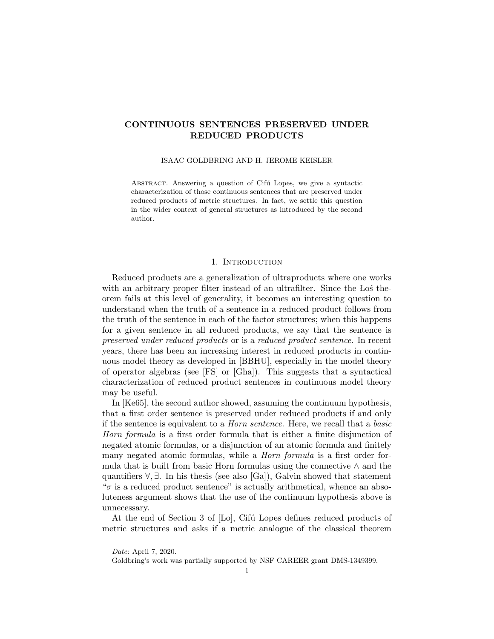# CONTINUOUS SENTENCES PRESERVED UNDER REDUCED PRODUCTS

### ISAAC GOLDBRING AND H. JEROME KEISLER

ABSTRACT. Answering a question of Cifú Lopes, we give a syntactic characterization of those continuous sentences that are preserved under reduced products of metric structures. In fact, we settle this question in the wider context of general structures as introduced by the second author.

## 1. INTRODUCTION

Reduced products are a generalization of ultraproducts where one works with an arbitrary proper filter instead of an ultrafilter. Since the Los theorem fails at this level of generality, it becomes an interesting question to understand when the truth of a sentence in a reduced product follows from the truth of the sentence in each of the factor structures; when this happens for a given sentence in all reduced products, we say that the sentence is preserved under reduced products or is a reduced product sentence. In recent years, there has been an increasing interest in reduced products in continuous model theory as developed in [BBHU], especially in the model theory of operator algebras (see [FS] or [Gha]). This suggests that a syntactical characterization of reduced product sentences in continuous model theory may be useful.

In [Ke65], the second author showed, assuming the continuum hypothesis, that a first order sentence is preserved under reduced products if and only if the sentence is equivalent to a Horn sentence. Here, we recall that a basic Horn formula is a first order formula that is either a finite disjunction of negated atomic formulas, or a disjunction of an atomic formula and finitely many negated atomic formulas, while a *Horn formula* is a first order formula that is built from basic Horn formulas using the connective  $\wedge$  and the quantifiers  $\forall$ ,  $\exists$ . In his thesis (see also [Ga]), Galvin showed that statement  $\sigma$  is a reduced product sentence" is actually arithmetical, whence an absoluteness argument shows that the use of the continuum hypothesis above is unnecessary.

At the end of Section 3 of [Lo], Cifú Lopes defines reduced products of metric structures and asks if a metric analogue of the classical theorem

Date: April 7, 2020.

Goldbring's work was partially supported by NSF CAREER grant DMS-1349399.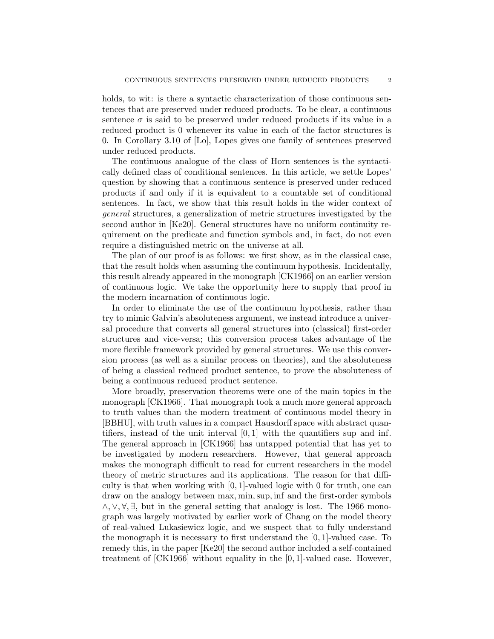holds, to wit: is there a syntactic characterization of those continuous sentences that are preserved under reduced products. To be clear, a continuous sentence  $\sigma$  is said to be preserved under reduced products if its value in a reduced product is 0 whenever its value in each of the factor structures is 0. In Corollary 3.10 of [Lo], Lopes gives one family of sentences preserved under reduced products.

The continuous analogue of the class of Horn sentences is the syntactically defined class of conditional sentences. In this article, we settle Lopes' question by showing that a continuous sentence is preserved under reduced products if and only if it is equivalent to a countable set of conditional sentences. In fact, we show that this result holds in the wider context of general structures, a generalization of metric structures investigated by the second author in [Ke20]. General structures have no uniform continuity requirement on the predicate and function symbols and, in fact, do not even require a distinguished metric on the universe at all.

The plan of our proof is as follows: we first show, as in the classical case, that the result holds when assuming the continuum hypothesis. Incidentally, this result already appeared in the monograph [CK1966] on an earlier version of continuous logic. We take the opportunity here to supply that proof in the modern incarnation of continuous logic.

In order to eliminate the use of the continuum hypothesis, rather than try to mimic Galvin's absoluteness argument, we instead introduce a universal procedure that converts all general structures into (classical) first-order structures and vice-versa; this conversion process takes advantage of the more flexible framework provided by general structures. We use this conversion process (as well as a similar process on theories), and the absoluteness of being a classical reduced product sentence, to prove the absoluteness of being a continuous reduced product sentence.

More broadly, preservation theorems were one of the main topics in the monograph [CK1966]. That monograph took a much more general approach to truth values than the modern treatment of continuous model theory in [BBHU], with truth values in a compact Hausdorff space with abstract quantifiers, instead of the unit interval  $[0, 1]$  with the quantifiers sup and inf. The general approach in [CK1966] has untapped potential that has yet to be investigated by modern researchers. However, that general approach makes the monograph difficult to read for current researchers in the model theory of metric structures and its applications. The reason for that difficulty is that when working with  $[0, 1]$ -valued logic with 0 for truth, one can draw on the analogy between max, min,sup, inf and the first-order symbols  $\wedge$ ,  $\vee$ ,  $\forall$ ,  $\exists$ , but in the general setting that analogy is lost. The 1966 monograph was largely motivated by earlier work of Chang on the model theory of real-valued Lukasiewicz logic, and we suspect that to fully understand the monograph it is necessary to first understand the  $[0, 1]$ -valued case. To remedy this, in the paper [Ke20] the second author included a self-contained treatment of [CK1966] without equality in the [0, 1]-valued case. However,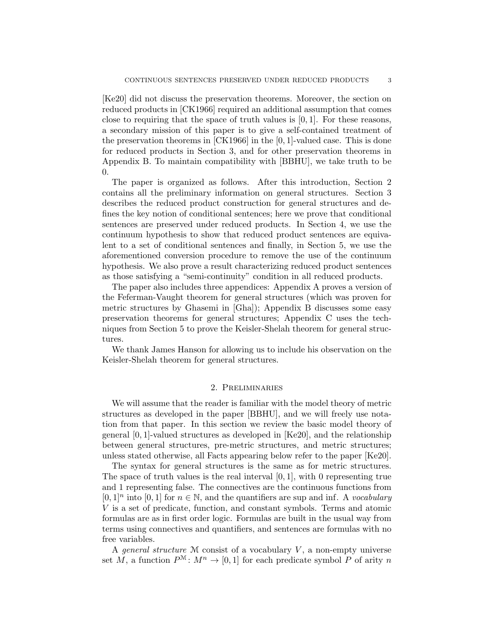[Ke20] did not discuss the preservation theorems. Moreover, the section on reduced products in [CK1966] required an additional assumption that comes close to requiring that the space of truth values is  $[0, 1]$ . For these reasons, a secondary mission of this paper is to give a self-contained treatment of the preservation theorems in [CK1966] in the [0, 1]-valued case. This is done for reduced products in Section 3, and for other preservation theorems in Appendix B. To maintain compatibility with [BBHU], we take truth to be 0.

The paper is organized as follows. After this introduction, Section 2 contains all the preliminary information on general structures. Section 3 describes the reduced product construction for general structures and defines the key notion of conditional sentences; here we prove that conditional sentences are preserved under reduced products. In Section 4, we use the continuum hypothesis to show that reduced product sentences are equivalent to a set of conditional sentences and finally, in Section 5, we use the aforementioned conversion procedure to remove the use of the continuum hypothesis. We also prove a result characterizing reduced product sentences as those satisfying a "semi-continuity" condition in all reduced products.

The paper also includes three appendices: Appendix A proves a version of the Feferman-Vaught theorem for general structures (which was proven for metric structures by Ghasemi in [Gha]); Appendix B discusses some easy preservation theorems for general structures; Appendix C uses the techniques from Section 5 to prove the Keisler-Shelah theorem for general structures.

We thank James Hanson for allowing us to include his observation on the Keisler-Shelah theorem for general structures.

#### 2. Preliminaries

We will assume that the reader is familiar with the model theory of metric structures as developed in the paper [BBHU], and we will freely use notation from that paper. In this section we review the basic model theory of general [0, 1]-valued structures as developed in [Ke20], and the relationship between general structures, pre-metric structures, and metric structures; unless stated otherwise, all Facts appearing below refer to the paper [Ke20].

The syntax for general structures is the same as for metric structures. The space of truth values is the real interval  $[0, 1]$ , with 0 representing true and 1 representing false. The connectives are the continuous functions from  $[0,1]$ <sup>n</sup> into  $[0,1]$  for  $n \in \mathbb{N}$ , and the quantifiers are sup and inf. A vocabulary V is a set of predicate, function, and constant symbols. Terms and atomic formulas are as in first order logic. Formulas are built in the usual way from terms using connectives and quantifiers, and sentences are formulas with no free variables.

A general structure  $M$  consist of a vocabulary  $V$ , a non-empty universe set M, a function  $P^{\mathcal{M}}: M^n \to [0,1]$  for each predicate symbol P of arity n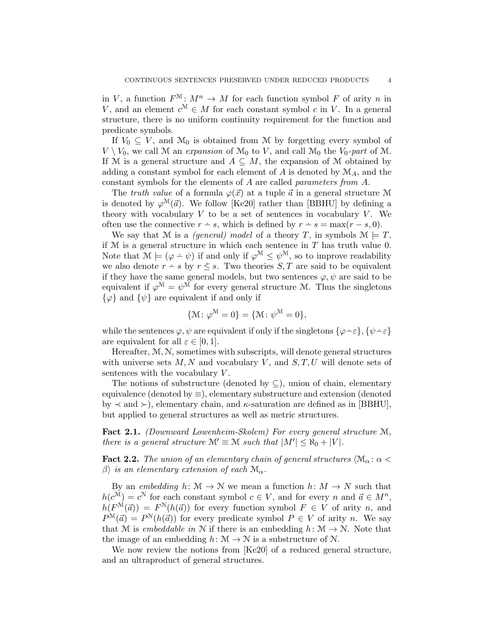in V, a function  $F^{\mathcal{M}}: M^{n} \to M$  for each function symbol F of arity n in V, and an element  $c^{\mathcal{M}} \in M$  for each constant symbol c in V. In a general structure, there is no uniform continuity requirement for the function and predicate symbols.

If  $V_0 \subseteq V$ , and  $\mathcal{M}_0$  is obtained from M by forgetting every symbol of  $V \setminus V_0$ , we call M an expansion of  $\mathcal{M}_0$  to V, and call  $\mathcal{M}_0$  the  $V_0$ -part of M. If M is a general structure and  $A \subseteq M$ , the expansion of M obtained by adding a constant symbol for each element of  $A$  is denoted by  $\mathcal{M}_A$ , and the constant symbols for the elements of A are called parameters from A.

The truth value of a formula  $\varphi(\vec{x})$  at a tuple  $\vec{a}$  in a general structure M is denoted by  $\varphi^{\mathcal{M}}(\vec{a})$ . We follow [Ke20] rather than [BBHU] by defining a theory with vocabulary  $V$  to be a set of sentences in vocabulary  $V$ . We often use the connective  $r - s$ , which is defined by  $r - s = \max(r - s, 0)$ .

We say that M is a *(general)* model of a theory T, in symbols  $\mathcal{M} \models T$ , if  $M$  is a general structure in which each sentence in  $T$  has truth value 0. Note that  $\mathcal{M} \models (\varphi - \psi)$  if and only if  $\varphi^{\mathcal{M}} \leq \psi^{\mathcal{M}}$ , so to improve readability we also denote  $r - s$  by  $r \leq s$ . Two theories  $S, T$  are said to be equivalent if they have the same general models, but two sentences  $\varphi, \psi$  are said to be equivalent if  $\varphi^{\mathcal{M}} = \psi^{\mathcal{M}}$  for every general structure M. Thus the singletons  $\{\varphi\}$  and  $\{\psi\}$  are equivalent if and only if

$$
\{\mathcal{M}\colon \varphi^{\mathcal{M}}=0\}=\{\mathcal{M}\colon \psi^{\mathcal{M}}=0\},\
$$

while the sentences  $\varphi, \psi$  are equivalent if only if the singletons  $\{\varphi \div \varepsilon\}, \{\psi \div \varepsilon\}$ are equivalent for all  $\varepsilon \in [0,1]$ .

Hereafter, M, N, sometimes with subscripts, will denote general structures with universe sets  $M, N$  and vocabulary V, and  $S, T, U$  will denote sets of sentences with the vocabulary  $V$ .

The notions of substructure (denoted by  $\subseteq$ ), union of chain, elementary equivalence (denoted by  $\equiv$ ), elementary substructure and extension (denoted by  $\prec$  and  $\succ$ ), elementary chain, and  $\kappa$ -saturation are defined as in [BBHU], but applied to general structures as well as metric structures.

Fact 2.1. (Downward Lowenheim-Skolem) For every general structure M, there is a general structure  $\mathcal{M}' \equiv \mathcal{M}$  such that  $|M'| \leq \aleph_0 + |V|$ .

**Fact 2.2.** The union of an elementary chain of general structures  $\langle \mathcal{M}_{\alpha} : \alpha \leq \mathcal{M}_{\alpha} \rangle$  $\beta$  is an elementary extension of each  $\mathcal{M}_{\alpha}$ .

By an embedding  $h: \mathcal{M} \to \mathcal{N}$  we mean a function  $h: M \to N$  such that  $h(c^{\mathcal{M}}) = c^{\mathcal{N}}$  for each constant symbol  $c \in V$ , and for every n and  $\vec{a} \in M^{n}$ ,  $h(F^{\mathcal{M}}(\vec{a})) = F^{\mathcal{N}}(h(\vec{a}))$  for every function symbol  $F \in V$  of arity n, and  $P^{\mathcal{M}}(\vec{a}) = P^{\mathcal{N}}(h(\vec{a}))$  for every predicate symbol  $P \in V$  of arity n. We say that M is embeddable in N if there is an embedding  $h: \mathcal{M} \to \mathcal{N}$ . Note that the image of an embedding  $h: \mathcal{M} \to \mathcal{N}$  is a substructure of  $\mathcal{N}$ .

We now review the notions from [Ke20] of a reduced general structure, and an ultraproduct of general structures.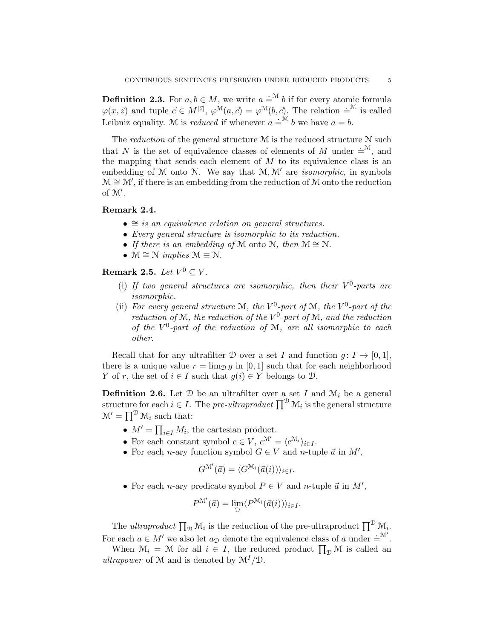**Definition 2.3.** For  $a, b \in M$ , we write  $a \doteq^{\mathcal{M}} b$  if for every atomic formula  $\varphi(x, \vec{z})$  and tuple  $\vec{c} \in M^{|\vec{z}|}, \varphi^{\mathcal{M}}(a, \vec{c}) = \varphi^{\mathcal{M}}(b, \vec{c})$ . The relation  $\dot{=}^{\mathcal{M}}$  is called Leibniz equality. M is *reduced* if whenever  $a = M$  b we have  $a = b$ .

The *reduction* of the general structure  $M$  is the reduced structure  $N$  such that N is the set of equivalence classes of elements of M under  $\dot{=}^M$ , and the mapping that sends each element of  $M$  to its equivalence class is an embedding of  $M$  onto  $N$ . We say that  $M, M'$  are *isomorphic*, in symbols  $\mathcal{M} \cong \mathcal{M}'$ , if there is an embedding from the reduction of M onto the reduction of  $\mathcal{M}'$ .

#### Remark 2.4.

- $\cong$  is an equivalence relation on general structures.
- Every general structure is isomorphic to its reduction.
- If there is an embedding of M onto N, then  $M \cong N$ .
- $M \cong N$  implies  $M \equiv N$ .

Remark 2.5. Let  $V^0 \subseteq V$ .

- (i) If two general structures are isomorphic, then their  $V^0$ -parts are isomorphic.
- (ii) For every general structure M, the  $V^0$ -part of M, the  $V^0$ -part of the reduction of M, the reduction of the  $V^0$ -part of M, and the reduction of the  $V^0$ -part of the reduction of M, are all isomorphic to each other.

Recall that for any ultrafilter D over a set I and function  $q: I \to [0, 1]$ , there is a unique value  $r = \lim_{D} g$  in [0, 1] such that for each neighborhood Y of r, the set of  $i \in I$  such that  $g(i) \in Y$  belongs to  $\mathcal{D}$ .

**Definition 2.6.** Let  $D$  be an ultrafilter over a set I and  $M_i$  be a general structure for each  $i \in I$ . The pre-ultraproduct  $\prod^{\mathcal{D}} \mathcal{M}_i$  is the general structure  $\mathcal{M}' = \prod^{\mathcal{D}} \mathcal{M}_i$  such that:

- $M' = \prod_{i \in I} M_i$ , the cartesian product.
- For each constant symbol  $c \in V$ ,  $c^{\mathcal{M}'} = \langle c^{\mathcal{M}_i} \rangle_{i \in I}$ .
- For each *n*-ary function symbol  $G \in V$  and *n*-tuple  $\vec{a}$  in  $M'$ ,

$$
G^{\mathcal{M}'}(\vec{a}) = \langle G^{\mathcal{M}_i}(\vec{a}(i)) \rangle_{i \in I}.
$$

• For each *n*-ary predicate symbol  $P \in V$  and *n*-tuple  $\vec{a}$  in  $M'$ ,

$$
P^{\mathcal{M}'}(\vec{a}) = \lim_{\mathcal{D}} \langle P^{\mathcal{M}_i}(\vec{a}(i))\rangle_{i \in I}.
$$

The *ultraproduct*  $\prod_{\mathcal{D}} \mathcal{M}_i$  is the reduction of the pre-ultraproduct  $\prod_{\mathcal{D}}^{\mathcal{D}} \mathcal{M}_i$ . For each  $a \in M'$  we also let  $a_{\mathcal{D}}$  denote the equivalence class of a under  $=^{\mathcal{M}'}$ .

When  $\mathcal{M}_i = \mathcal{M}$  for all  $i \in I$ , the reduced product  $\prod_{\mathcal{D}} \mathcal{M}$  is called an ultrapower of M and is denoted by  $\mathcal{M}^I/\mathcal{D}$ .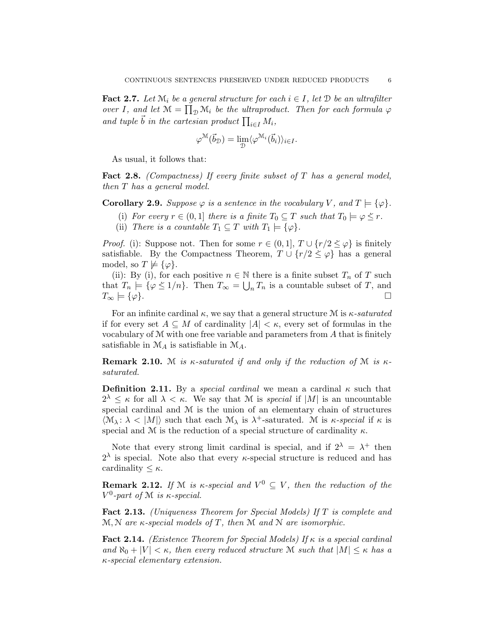**Fact 2.7.** Let  $\mathcal{M}_i$  be a general structure for each  $i \in I$ , let  $\mathcal{D}$  be an ultrafilter over I, and let  $\mathcal{M} = \prod_{\mathcal{D}} \mathcal{M}_i$  be the ultraproduct. Then for each formula  $\varphi$ and tuple  $\vec{b}$  in the cartesian product  $\prod_{i\in I} M_i$ ,

$$
\varphi^{\mathcal{M}}(\vec{b}_{\mathcal{D}}) = \lim_{\mathcal{D}} \langle \varphi^{\mathcal{M}_i}(\vec{b}_i) \rangle_{i \in I}.
$$

As usual, it follows that:

**Fact 2.8.** (Compactness) If every finite subset of  $T$  has a general model, then T has a general model.

**Corollary 2.9.** Suppose  $\varphi$  is a sentence in the vocabulary V, and  $T \models {\varphi}$ .

- (i) For every  $r \in (0,1]$  there is a finite  $T_0 \subseteq T$  such that  $T_0 \models \varphi \leq r$ .
- (ii) There is a countable  $T_1 \subseteq T$  with  $T_1 \models {\varphi}$ .

*Proof.* (i): Suppose not. Then for some  $r \in (0,1], T \cup \{r/2 \leq \varphi\}$  is finitely satisfiable. By the Compactness Theorem,  $T \cup \{r/2 \leq \varphi\}$  has a general model, so  $T \not\models {\varphi}.$ 

(ii): By (i), for each positive  $n \in \mathbb{N}$  there is a finite subset  $T_n$  of T such that  $T_n \models {\varphi \leq 1/n}$ . Then  $T_\infty = \bigcup_n T_n$  is a countable subset of T, and  $T_{\infty} \models {\varphi}$ .

For an infinite cardinal  $\kappa$ , we say that a general structure M is  $\kappa$ -saturated if for every set  $A \subseteq M$  of cardinality  $|A| < \kappa$ , every set of formulas in the vocabulary of  $M$  with one free variable and parameters from  $A$  that is finitely satisfiable in  $\mathcal{M}_A$  is satisfiable in  $\mathcal{M}_A$ .

**Remark 2.10.** M is  $\kappa$ -saturated if and only if the reduction of M is  $\kappa$ saturated.

**Definition 2.11.** By a special cardinal we mean a cardinal  $\kappa$  such that  $2^{\lambda} \leq \kappa$  for all  $\lambda < \kappa$ . We say that M is *special* if |M| is an uncountable special cardinal and M is the union of an elementary chain of structures  $\langle \mathcal{M}_{\lambda} : \lambda \langle |M| \rangle$  such that each  $\mathcal{M}_{\lambda}$  is  $\lambda^{+}$ -saturated. M is  $\kappa$ -special if  $\kappa$  is special and M is the reduction of a special structure of cardinality  $\kappa$ .

Note that every strong limit cardinal is special, and if  $2^{\lambda} = \lambda^+$  then  $2^{\lambda}$  is special. Note also that every  $\kappa$ -special structure is reduced and has cardinality  $\lt$   $\kappa$ .

**Remark 2.12.** If M is  $\kappa$ -special and  $V^0 \subseteq V$ , then the reduction of the  $V^0$ -part of M is  $\kappa$ -special.

Fact 2.13. (Uniqueness Theorem for Special Models) If T is complete and  $M, N$  are  $\kappa$ -special models of T, then M and N are isomorphic.

Fact 2.14. (Existence Theorem for Special Models) If  $\kappa$  is a special cardinal and  $\aleph_0 + |V| < \kappa$ , then every reduced structure M such that  $|M| \leq \kappa$  has a κ-special elementary extension.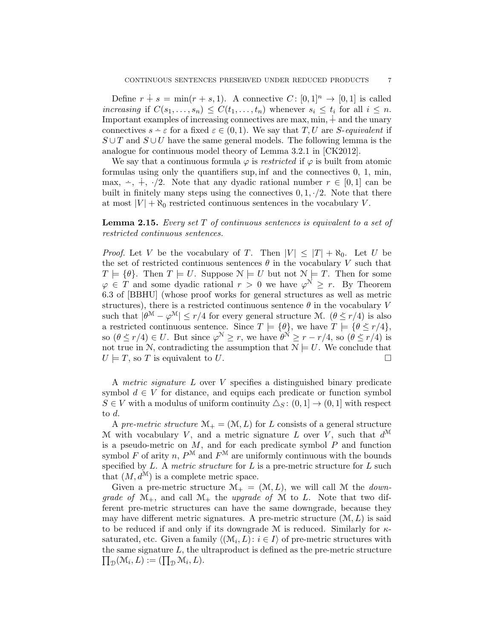Define  $r \dotplus s = \min(r + s, 1)$ . A connective  $C: [0, 1]^n \rightarrow [0, 1]$  is called increasing if  $C(s_1, \ldots, s_n) \leq C(t_1, \ldots, t_n)$  whenever  $s_i \leq t_i$  for all  $i \leq n$ . Important examples of increasing connectives are max, min,  $\dot{+}$  and the unary connectives  $s - \varepsilon$  for a fixed  $\varepsilon \in (0, 1)$ . We say that T, U are S-equivalent if  $S \cup T$  and  $S \cup U$  have the same general models. The following lemma is the analogue for continuous model theory of Lemma 3.2.1 in [CK2012].

We say that a continuous formula  $\varphi$  is restricted if  $\varphi$  is built from atomic formulas using only the quantifiers sup, inf and the connectives 0, 1, min, max,  $\div$ ,  $\div$ ,  $\frac{1}{\sqrt{2}}$ . Note that any dyadic rational number  $r \in [0, 1]$  can be built in finitely many steps using the connectives  $0, 1, \cdot/2$ . Note that there at most  $|V| + \aleph_0$  restricted continuous sentences in the vocabulary V.

**Lemma 2.15.** Every set  $T$  of continuous sentences is equivalent to a set of restricted continuous sentences.

*Proof.* Let V be the vocabulary of T. Then  $|V| \leq |T| + \aleph_0$ . Let U be the set of restricted continuous sentences  $\theta$  in the vocabulary V such that  $T \models {\theta}$ . Then  $T \models U$ . Suppose  $\mathcal{N} \models U$  but not  $\mathcal{N} \models T$ . Then for some  $\varphi \in T$  and some dyadic rational  $r > 0$  we have  $\varphi^N \geq r$ . By Theorem 6.3 of [BBHU] (whose proof works for general structures as well as metric structures), there is a restricted continuous sentence  $\theta$  in the vocabulary V such that  $|\theta^M - \varphi^M| \le r/4$  for every general structure M.  $(\theta \le r/4)$  is also a restricted continuous sentence. Since  $T \models {\theta}$ , we have  $T \models {\theta} \leq r/4$ , so  $(\theta \le r/4) \in U$ . But since  $\varphi^N \ge r$ , we have  $\theta^N \ge r - r/4$ , so  $(\theta \le r/4)$  is not true in N, contradicting the assumption that  $N \models U$ . We conclude that  $U \models T$ , so T is equivalent to U.

A metric signature L over V specifies a distinguished binary predicate symbol  $d \in V$  for distance, and equips each predicate or function symbol  $S \in V$  with a modulus of uniform continuity  $\Delta_S : (0,1] \to (0,1]$  with respect to d.

A pre-metric structure  $\mathcal{M}_+ = (\mathcal{M}, L)$  for L consists of a general structure M with vocabulary V, and a metric signature L over V, such that  $d^{\mathcal{M}}$ is a pseudo-metric on  $M$ , and for each predicate symbol  $P$  and function symbol F of arity n,  $P^{\mathcal{M}}$  and  $F^{\mathcal{M}}$  are uniformly continuous with the bounds specified by  $L$ . A metric structure for  $L$  is a pre-metric structure for  $L$  such that  $(M, d^M)$  is a complete metric space.

Given a pre-metric structure  $\mathcal{M}_+ = (\mathcal{M}, L)$ , we will call M the *down*grade of  $\mathcal{M}_+$ , and call  $\mathcal{M}_+$  the upgrade of  $\mathcal M$  to L. Note that two different pre-metric structures can have the same downgrade, because they may have different metric signatures. A pre-metric structure  $(M, L)$  is said to be reduced if and only if its downgrade M is reduced. Similarly for  $\kappa$ saturated, etc. Given a family  $\langle (\mathcal{M}_i, L) : i \in I \rangle$  of pre-metric structures with the same signature L, the ultraproduct is defined as the pre-metric structure  $\prod_{\mathcal{D}}(\mathcal{M}_i, L) := (\prod_{\mathcal{D}} \mathcal{M}_i, L).$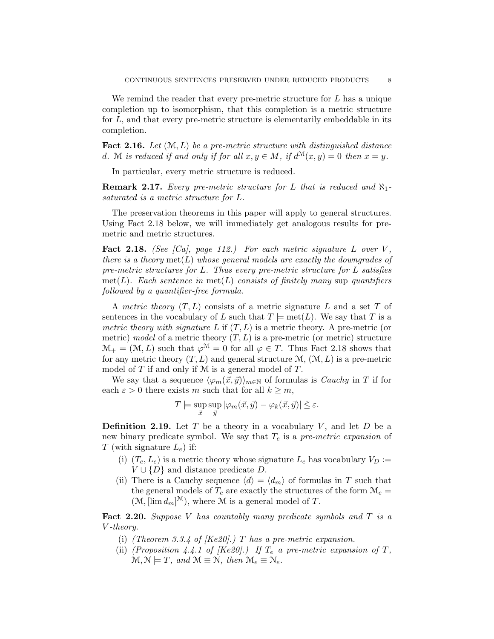We remind the reader that every pre-metric structure for  $L$  has a unique completion up to isomorphism, that this completion is a metric structure for  $L$ , and that every pre-metric structure is elementarily embeddable in its completion.

**Fact 2.16.** Let  $(\mathcal{M}, L)$  be a pre-metric structure with distinguished distance d. M is reduced if and only if for all  $x, y \in M$ , if  $d^{\mathcal{M}}(x, y) = 0$  then  $x = y$ .

In particular, every metric structure is reduced.

**Remark 2.17.** Every pre-metric structure for L that is reduced and  $\aleph_1$ saturated is a metric structure for L.

The preservation theorems in this paper will apply to general structures. Using Fact 2.18 below, we will immediately get analogous results for premetric and metric structures.

Fact 2.18. (See  $|Ca|$ , page 112.) For each metric signature L over V, there is a theory  $met(L)$  whose general models are exactly the downgrades of pre-metric structures for  $L$ . Thus every pre-metric structure for  $L$  satisfies  $met(L)$ . Each sentence in  $met(L)$  consists of finitely many sup quantifiers followed by a quantifier-free formula.

A metric theory  $(T, L)$  consists of a metric signature L and a set T of sentences in the vocabulary of L such that  $T \models \text{met}(L)$ . We say that T is a metric theory with signature L if  $(T, L)$  is a metric theory. A pre-metric (or metric) model of a metric theory  $(T, L)$  is a pre-metric (or metric) structure  $\mathcal{M}_+ = (\mathcal{M}, L)$  such that  $\varphi^{\mathcal{M}} = 0$  for all  $\varphi \in T$ . Thus Fact 2.18 shows that for any metric theory  $(T, L)$  and general structure  $\mathcal{M}, (\mathcal{M}, L)$  is a pre-metric model of  $T$  if and only if  $M$  is a general model of  $T$ .

We say that a sequence  $\langle \varphi_m(\vec{x}, \vec{y}) \rangle_{m \in \mathbb{N}}$  of formulas is *Cauchy* in T if for each  $\varepsilon > 0$  there exists m such that for all  $k \geq m$ ,

$$
T \models \sup_{\vec{x}} \sup_{\vec{y}} |\varphi_m(\vec{x}, \vec{y}) - \varphi_k(\vec{x}, \vec{y})| \le \varepsilon.
$$

**Definition 2.19.** Let  $T$  be a theory in a vocabulary  $V$ , and let  $D$  be a new binary predicate symbol. We say that  $T_e$  is a pre-metric expansion of T (with signature  $L_e$ ) if:

- (i)  $(T_e, L_e)$  is a metric theory whose signature  $L_e$  has vocabulary  $V_D :=$  $V \cup \{D\}$  and distance predicate D.
- (ii) There is a Cauchy sequence  $\langle d \rangle = \langle d_m \rangle$  of formulas in T such that the general models of  $T_e$  are exactly the structures of the form  $\mathcal{M}_e$  =  $(\mathcal{M}, [\lim d_m]^{\mathcal{M}})$ , where  $\mathcal M$  is a general model of T.

Fact 2.20. Suppose V has countably many predicate symbols and  $T$  is a V -theory.

- (i) (Theorem 3.3.4 of  $[Ke20]$ .) T has a pre-metric expansion.
- (ii) (Proposition 4.4.1 of [Ke20].) If  $T_e$  a pre-metric expansion of  $T$ ,  $\mathcal{M}, \mathcal{N} \models T$ , and  $\mathcal{M} \equiv \mathcal{N}$ , then  $\mathcal{M}_e \equiv \mathcal{N}_e$ .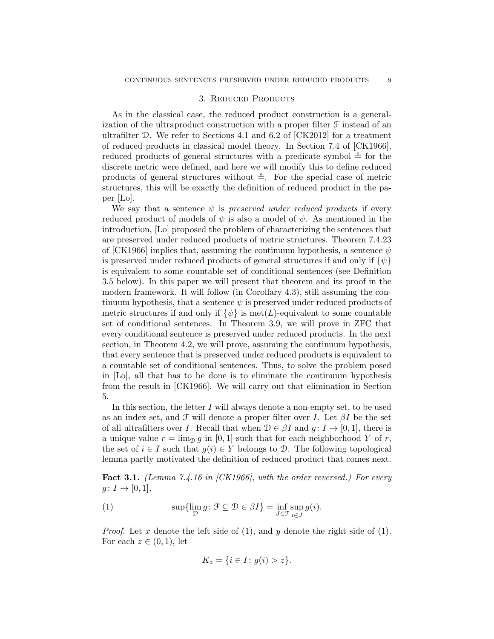## 3. REDUCED PRODUCTS

As in the classical case, the reduced product construction is a generalization of the ultraproduct construction with a proper filter F instead of an ultrafilter  $\mathcal{D}$ . We refer to Sections 4.1 and 6.2 of [CK2012] for a treatment of reduced products in classical model theory. In Section 7.4 of [CK1966], reduced products of general structures with a predicate symbol  $\stackrel{\sim}{=}$  for the discrete metric were defined, and here we will modify this to define reduced products of general structures without  $\stackrel{\circ}{=}$ . For the special case of metric structures, this will be exactly the definition of reduced product in the paper [Lo].

We say that a sentence  $\psi$  is preserved under reduced products if every reduced product of models of  $\psi$  is also a model of  $\psi$ . As mentioned in the introduction, [Lo] proposed the problem of characterizing the sentences that are preserved under reduced products of metric structures. Theorem 7.4.23 of [CK1966] implies that, assuming the continuum hypothesis, a sentence  $\psi$ is preserved under reduced products of general structures if and only if  $\{\psi\}$ is equivalent to some countable set of conditional sentences (see Definition 3.5 below). In this paper we will present that theorem and its proof in the modern framework. It will follow (in Corollary 4.3), still assuming the continuum hypothesis, that a sentence  $\psi$  is preserved under reduced products of metric structures if and only if  $\{\psi\}$  is met(L)-equivalent to some countable set of conditional sentences. In Theorem 3.9, we will prove in ZFC that every conditional sentence is preserved under reduced products. In the next section, in Theorem 4.2, we will prove, assuming the continuum hypothesis, that every sentence that is preserved under reduced products is equivalent to a countable set of conditional sentences. Thus, to solve the problem posed in [Lo], all that has to be done is to eliminate the continuum hypothesis from the result in [CK1966]. We will carry out that elimination in Section 5.

In this section, the letter  $I$  will always denote a non-empty set, to be used as an index set, and  $\mathcal F$  will denote a proper filter over I. Let  $\beta I$  be the set of all ultrafilters over I. Recall that when  $\mathcal{D} \in \beta I$  and  $g: I \to [0, 1]$ , there is a unique value  $r = \lim_{D} g$  in [0, 1] such that for each neighborhood Y of r, the set of  $i \in I$  such that  $g(i) \in Y$  belongs to  $\mathcal{D}$ . The following topological lemma partly motivated the definition of reduced product that comes next.

**Fact 3.1.** (Lemma 7.4.16 in [CK1966], with the order reversed.) For every  $g \colon I \to [0,1],$ 

(1) 
$$
\sup\{\lim_{\mathcal{D}} g \colon \mathcal{F} \subseteq \mathcal{D} \in \beta I\} = \inf_{J \in \mathcal{F}} \sup_{i \in J} g(i).
$$

*Proof.* Let x denote the left side of  $(1)$ , and y denote the right side of  $(1)$ . For each  $z \in (0,1)$ , let

$$
K_z = \{ i \in I : g(i) > z \}.
$$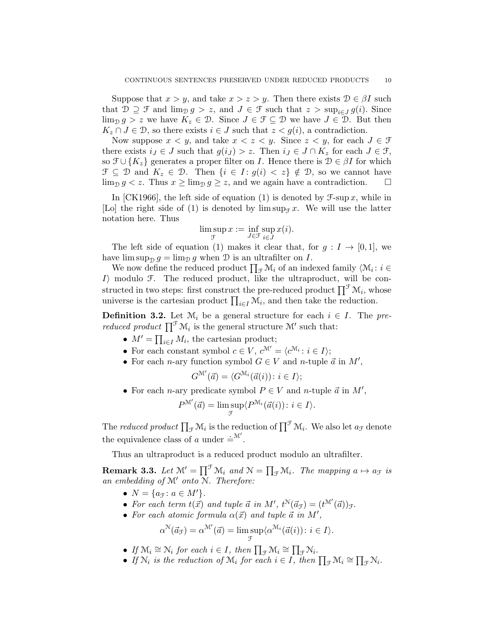Suppose that  $x > y$ , and take  $x > z > y$ . Then there exists  $\mathcal{D} \in \beta I$  such that  $\mathcal{D} \supseteq \mathcal{F}$  and  $\lim_{\mathcal{D}} g > z$ , and  $J \in \mathcal{F}$  such that  $z > \sup_{i \in J} g(i)$ . Since  $\lim_{\mathcal{D}} g > z$  we have  $K_z \in \mathcal{D}$ . Since  $J \in \mathcal{F} \subseteq \mathcal{D}$  we have  $J \in \mathcal{D}$ . But then  $K_z \cap J \in \mathcal{D}$ , so there exists  $i \in J$  such that  $z < g(i)$ , a contradiction.

Now suppose  $x < y$ , and take  $x < z < y$ . Since  $z < y$ , for each  $J \in \mathcal{F}$ there exists  $i_J \in J$  such that  $g(i_J) > z$ . Then  $i_J \in J \cap K_z$  for each  $J \in \mathcal{F}$ , so  $\mathfrak{F} \cup \{K_z\}$  generates a proper filter on *I*. Hence there is  $\mathfrak{D} \in \beta I$  for which  $\mathcal{F} \subseteq \mathcal{D}$  and  $K_z \in \mathcal{D}$ . Then  $\{i \in I : g(i) < z\} \notin \mathcal{D}$ , so we cannot have  $\lim_{\mathcal{D}} g < z$ . Thus  $x \ge \lim_{\mathcal{D}} g \ge z$ , and we again have a contradiction.

In [CK1966], the left side of equation (1) is denoted by  $\mathcal{F}\text{-sup }x$ , while in [Lo] the right side of (1) is denoted by  $\limsup_{T \to \infty} x$ . We will use the latter notation here. Thus

$$
\limsup_{\mathcal{F}} x := \inf_{J \in \mathcal{F}} \sup_{i \in J} x(i).
$$

The left side of equation (1) makes it clear that, for  $g: I \to [0,1]$ , we have  $\limsup_{\mathcal{D}} g = \lim_{\mathcal{D}} g$  when  $\mathcal D$  is an ultrafilter on I.

We now define the reduced product  $\prod_{\mathcal{F}} \mathcal{M}_i$  of an indexed family  $\langle \mathcal{M}_i : i \in$  $I\rangle$  modulo F. The reduced product, like the ultraproduct, will be constructed in two steps: first construct the pre-reduced product  $\prod^{\mathcal{F}} \mathcal{M}_i$ , whose universe is the cartesian product  $\prod_{i\in I} \mathcal{M}_i$ , and then take the reduction.

**Definition 3.2.** Let  $\mathcal{M}_i$  be a general structure for each  $i \in I$ . The pre*reduced product*  $\prod^{\mathcal{T}} \mathcal{M}_i$  is the general structure  $\mathcal{M}'$  such that:

- $M' = \prod_{i \in I} M_i$ , the cartesian product;
- For each constant symbol  $c \in V$ ,  $c^{\mathcal{M}'} = \langle c^{\mathcal{M}_i} : i \in I \rangle$ ;
- For each *n*-ary function symbol  $G \in V$  and *n*-tuple  $\vec{a}$  in  $M'$ ,

$$
G^{\mathcal{M}'}(\vec{a}) = \langle G^{\mathcal{M}_i}(\vec{a}(i)) : i \in I \rangle;
$$

• For each *n*-ary predicate symbol  $P \in V$  and *n*-tuple  $\vec{a}$  in  $M'$ ,

$$
P^{\mathcal{M}'}(\vec{a}) = \limsup_{\mathcal{F}} \langle P^{\mathcal{M}_i}(\vec{a}(i)) : i \in I \rangle.
$$

The *reduced product*  $\prod_{\mathcal{F}} \mathcal{M}_i$  is the reduction of  $\prod^{\mathcal{F}} \mathcal{M}_i$ . We also let  $a_{\mathcal{F}}$  denote the equivalence class of a under  $=^{\mathcal{M}'}$ .

Thus an ultraproduct is a reduced product modulo an ultrafilter.

**Remark 3.3.** Let  $\mathcal{M}' = \prod^{\mathcal{F}} \mathcal{M}_i$  and  $\mathcal{N} = \prod_{\mathcal{F}} \mathcal{M}_i$ . The mapping  $a \mapsto a_{\mathcal{F}}$  is an embedding of  $M'$  onto  $\widetilde{N}$ . Therefore:

- $N = \{a_{\mathfrak{F}} : a \in M'\}.$
- For each term  $t(\vec{x})$  and tuple  $\vec{a}$  in M',  $t^N(\vec{a}_{\mathcal{F}}) = (t^{M'}(\vec{a}))_{\mathcal{F}}$ .
- For each atomic formula  $\alpha(\vec{x})$  and tuple  $\vec{a}$  in  $M'$ ,

$$
\alpha^{\mathcal{N}}(\vec{a}_{\mathcal{F}}) = \alpha^{\mathcal{M}'}(\vec{a}) = \limsup_{\mathcal{F}} \langle \alpha^{\mathcal{M}_i}(\vec{a}(i)) : i \in I \rangle.
$$

- If  $\mathcal{M}_i \cong \mathcal{N}_i$  for each  $i \in I$ , then  $\prod_{\mathcal{F}} \mathcal{M}_i \cong \prod_{\mathcal{F}} \mathcal{N}_i$ .
- If  $\mathcal{N}_i$  is the reduction of  $\mathcal{M}_i$  for each  $i \in I$ , then  $\prod_{\mathcal{F}} \mathcal{M}_i \cong \prod_{\mathcal{F}} \mathcal{N}_i$ .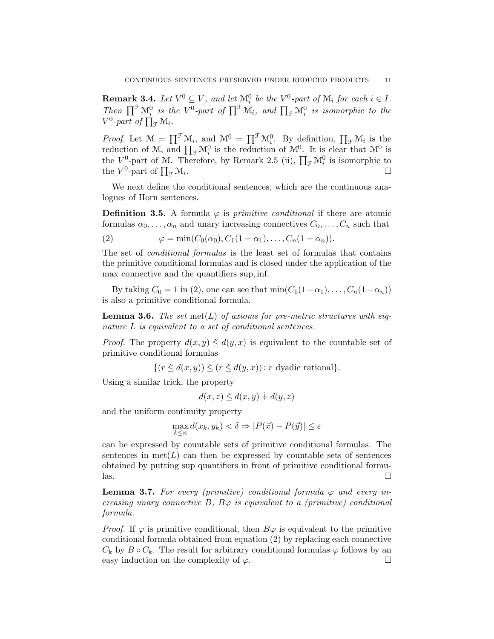**Remark 3.4.** Let  $V^0 \subseteq V$ , and let  $\mathcal{M}_i^0$  be the  $V^0$ -part of  $\mathcal{M}_i$  for each  $i \in I$ . Then  $\prod^{\mathcal{F}} \mathcal{M}_{i}^{0}$  is the  $V^{0}$ -part of  $\prod^{\mathcal{F}} \mathcal{M}_{i}$ , and  $\prod_{\mathcal{F}} \mathcal{M}_{i}^{0}$  is isomorphic to the  $V^0$ -part of  $\prod_{\mathcal{F}}\mathcal{M}_i$ .

*Proof.* Let  $\mathcal{M} = \prod^{\mathcal{F}} \mathcal{M}_i$ , and  $\mathcal{M}^0 = \prod^{\mathcal{F}} \mathcal{M}_i^0$ . By definition,  $\prod_{\mathcal{F}} \mathcal{M}_i$  is the reduction of M, and  $\prod_{\mathcal{F}} \mathcal{M}_i^0$  is the reduction of  $\mathcal{M}^0$ . It is clear that  $\mathcal{M}^0$  is the  $V^0$ -part of M. Therefore, by Remark 2.5 (ii),  $\prod_{\mathcal{F}} \mathcal{M}_i^0$  is isomorphic to the  $V^0$ -part of  $\prod_{\mathcal{F}} \mathcal{M}_i$ .

We next define the conditional sentences, which are the continuous analogues of Horn sentences.

**Definition 3.5.** A formula  $\varphi$  is *primitive conditional* if there are atomic formulas  $\alpha_0, \ldots, \alpha_n$  and unary increasing connectives  $C_0, \ldots, C_n$  such that

(2) 
$$
\varphi = \min(C_0(\alpha_0), C_1(1 - \alpha_1), \dots, C_n(1 - \alpha_n)).
$$

The set of conditional formulas is the least set of formulas that contains the primitive conditional formulas and is closed under the application of the max connective and the quantifiers sup, inf.

By taking  $C_0 = 1$  in (2), one can see that  $\min(C_1(1-\alpha_1), \ldots, C_n(1-\alpha_n))$ is also a primitive conditional formula.

**Lemma 3.6.** The set met(L) of axioms for pre-metric structures with signature L is equivalent to a set of conditional sentences.

*Proof.* The property  $d(x, y) \leq d(y, x)$  is equivalent to the countable set of primitive conditional formulas

$$
\{(r \leq d(x, y)) \leq (r \leq d(y, x)) : r \text{ dyadic rational}\}.
$$

Using a similar trick, the property

$$
d(x, z) \le d(x, y) + d(y, z)
$$

and the uniform continuity property

$$
\max_{k \le n} d(x_k, y_k) < \delta \Rightarrow |P(\vec{x}) - P(\vec{y})| \le \varepsilon
$$

can be expressed by countable sets of primitive conditional formulas. The sentences in  $\mathrm{met}(L)$  can then be expressed by countable sets of sentences obtained by putting sup quantifiers in front of primitive conditional formu- $\Box$ 

**Lemma 3.7.** For every (primitive) conditional formula  $\varphi$  and every increasing unary connective B,  $B\varphi$  is equivalent to a (primitive) conditional formula.

*Proof.* If  $\varphi$  is primitive conditional, then  $B\varphi$  is equivalent to the primitive conditional formula obtained from equation (2) by replacing each connective  $C_k$  by  $B \circ C_k$ . The result for arbitrary conditional formulas  $\varphi$  follows by an easy induction on the complexity of  $\varphi$ .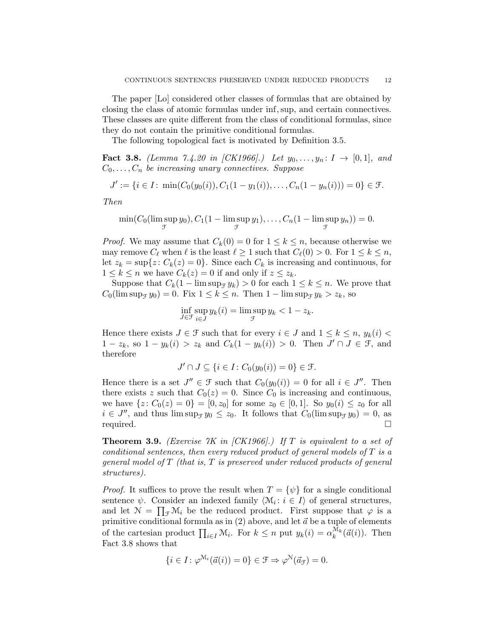The paper [Lo] considered other classes of formulas that are obtained by closing the class of atomic formulas under inf,sup, and certain connectives. These classes are quite different from the class of conditional formulas, since they do not contain the primitive conditional formulas.

The following topological fact is motivated by Definition 3.5.

**Fact 3.8.** (Lemma 7.4.20 in [CK1966].) Let  $y_0, \ldots, y_n : I \to [0,1]$ , and  $C_0, \ldots, C_n$  be increasing unary connectives. Suppose

$$
J' := \{i \in I : \min(C_0(y_0(i)), C_1(1-y_1(i)), \dots, C_n(1-y_n(i))) = 0\} \in \mathcal{F}.
$$

Then

$$
\min(C_0(\limsup_{\mathcal{T}} y_0), C_1(1-\limsup_{\mathcal{T}} y_1), \dots, C_n(1-\limsup_{\mathcal{T}} y_n)) = 0.
$$

*Proof.* We may assume that  $C_k(0) = 0$  for  $1 \leq k \leq n$ , because otherwise we may remove  $C_\ell$  when  $\ell$  is the least  $\ell \geq 1$  such that  $C_\ell(0) > 0$ . For  $1 \leq k \leq n$ , let  $z_k = \sup\{z : C_k(z) = 0\}$ . Since each  $C_k$  is increasing and continuous, for  $1 \leq k \leq n$  we have  $C_k(z) = 0$  if and only if  $z \leq z_k$ .

Suppose that  $C_k(1 - \limsup_{\mathcal{F}} y_k) > 0$  for each  $1 \leq k \leq n$ . We prove that  $C_0(\limsup_{\mathcal{F}} y_0) = 0$ . Fix  $1 \leq k \leq n$ . Then  $1 - \limsup_{\mathcal{F}} y_k > z_k$ , so

$$
\inf_{J \in \mathcal{F}} \sup_{i \in J} y_k(i) = \limsup_{\mathcal{F}} y_k < 1 - z_k.
$$

Hence there exists  $J \in \mathcal{F}$  such that for every  $i \in J$  and  $1 \leq k \leq n$ ,  $y_k(i)$  $1-z_k$ , so  $1-y_k(i) > z_k$  and  $C_k(1-y_k(i)) > 0$ . Then  $J' \cap J \in \mathcal{F}$ , and therefore

$$
J' \cap J \subseteq \{ i \in I : C_0(y_0(i)) = 0 \} \in \mathcal{F}.
$$

Hence there is a set  $J'' \in \mathcal{F}$  such that  $C_0(y_0(i)) = 0$  for all  $i \in J''$ . Then there exists z such that  $C_0(z) = 0$ . Since  $C_0$  is increasing and continuous, we have  $\{z: C_0(z) = 0\} = [0, z_0]$  for some  $z_0 \in [0, 1]$ . So  $y_0(i) \leq z_0$  for all  $i \in J''$ , and thus  $\limsup_{\mathcal{T}} y_0 \leq z_0$ . It follows that  $C_0(\limsup_{\mathcal{T}} y_0) = 0$ , as required.

**Theorem 3.9.** (Exercise  $\gamma K$  in [CK1966].) If T is equivalent to a set of conditional sentences, then every reduced product of general models of  $T$  is a general model of  $T$  (that is,  $T$  is preserved under reduced products of general structures).

*Proof.* It suffices to prove the result when  $T = {\psi}$  for a single conditional sentence  $\psi$ . Consider an indexed family  $\langle \mathcal{M}_i : i \in I \rangle$  of general structures, and let  $\mathcal{N} = \prod_{\mathcal{F}} \mathcal{M}_i$  be the reduced product. First suppose that  $\varphi$  is a primitive conditional formula as in (2) above, and let  $\vec{a}$  be a tuple of elements of the cartesian product  $\prod_{i\in I} M_i$ . For  $k \leq n$  put  $y_k(i) = \alpha_k^{M_k}(\vec{a}(i))$ . Then Fact 3.8 shows that

$$
\{i \in I : \varphi^{\mathcal{M}_i}(\vec{a}(i)) = 0\} \in \mathcal{F} \Rightarrow \varphi^{\mathcal{N}}(\vec{a}_{\mathcal{F}}) = 0.
$$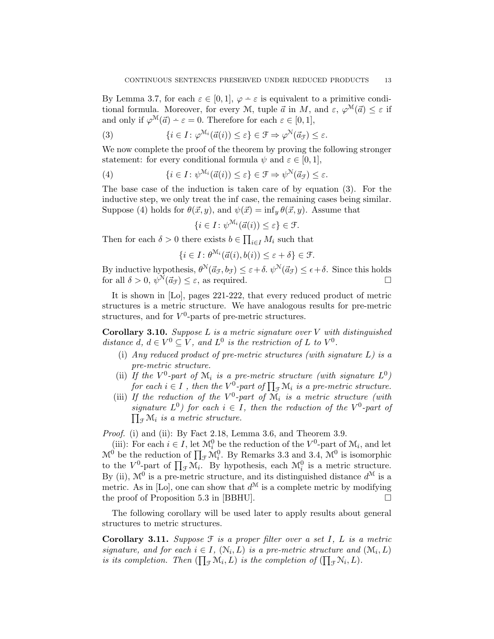By Lemma 3.7, for each  $\varepsilon \in [0,1], \varphi - \varepsilon$  is equivalent to a primitive conditional formula. Moreover, for every M, tuple  $\vec{a}$  in M, and  $\varepsilon$ ,  $\varphi^{\mathcal{M}}(\vec{a}) \leq \varepsilon$  if and only if  $\varphi^{\mathcal{M}}(\vec{a}) - \varepsilon = 0$ . Therefore for each  $\varepsilon \in [0, 1]$ ,

(3) 
$$
\{i \in I : \varphi^{\mathcal{M}_i}(\vec{a}(i)) \leq \varepsilon\} \in \mathcal{F} \Rightarrow \varphi^{\mathcal{N}}(\vec{a}_{\mathcal{F}}) \leq \varepsilon.
$$

We now complete the proof of the theorem by proving the following stronger statement: for every conditional formula  $\psi$  and  $\varepsilon \in [0,1],$ 

(4) 
$$
\{i \in I : \psi^{\mathcal{M}_i}(\vec{a}(i)) \leq \varepsilon\} \in \mathcal{F} \Rightarrow \psi^{\mathcal{N}}(\vec{a}_{\mathcal{F}}) \leq \varepsilon.
$$

The base case of the induction is taken care of by equation (3). For the inductive step, we only treat the inf case, the remaining cases being similar. Suppose (4) holds for  $\theta(\vec{x}, y)$ , and  $\psi(\vec{x}) = \inf_{y} \theta(\vec{x}, y)$ . Assume that

$$
\{i \in I : \psi^{\mathcal{M}_i}(\vec{a}(i)) \le \varepsilon\} \in \mathcal{F}.
$$

Then for each  $\delta > 0$  there exists  $b \in \prod_{i \in I} M_i$  such that

$$
\{i \in I : \theta^{\mathcal{M}_i}(\vec{a}(i), b(i)) \le \varepsilon + \delta\} \in \mathcal{F}.
$$

By inductive hypothesis,  $\theta^N(\vec{a}_{\mathcal{F}}, b_{\mathcal{F}}) \leq \varepsilon + \delta$ .  $\psi^N(\vec{a}_{\mathcal{F}}) \leq \epsilon + \delta$ . Since this holds for all  $\delta > 0$ ,  $\psi^N(\vec{a}_{\mathcal{F}}) \leq \varepsilon$ , as required.

It is shown in [Lo], pages 221-222, that every reduced product of metric structures is a metric structure. We have analogous results for pre-metric structures, and for  $V^0$ -parts of pre-metric structures.

**Corollary 3.10.** Suppose  $L$  is a metric signature over  $V$  with distinguished distance d,  $d \in V^0 \subseteq V$ , and  $L^0$  is the restriction of L to  $V^0$ .

- (i) Any reduced product of pre-metric structures (with signature  $L$ ) is a pre-metric structure.
- (ii) If the  $V^0$ -part of  $\mathcal{M}_i$  is a pre-metric structure (with signature  $L^0$ ) for each  $i \in I$ , then the  $V^0$ -part of  $\prod_{\mathcal{F}} \mathcal{M}_i$  is a pre-metric structure.
- (iii) If the reduction of the  $V^0$ -part of  $\tilde{M}_i$  is a metric structure (with signature  $L^0$ ) for each  $i \in I$ , then the reduction of the  $V^0$ -part of  $\prod_{\mathcal{F}}\mathcal{M}_i$  is a metric structure.

Proof. (i) and (ii): By Fact 2.18, Lemma 3.6, and Theorem 3.9.

(iii): For each  $i \in I$ , let  $\mathcal{M}_i^0$  be the reduction of the  $V^0$ -part of  $\mathcal{M}_i$ , and let  $\mathcal{M}^0$  be the reduction of  $\prod_{\mathcal{F}} \mathcal{M}_i^0$ . By Remarks 3.3 and 3.4,  $\mathcal{M}^0$  is isomorphic to the  $V^0$ -part of  $\prod_{\mathcal{F}}\mathcal{M}_i$ . By hypothesis, each  $\mathcal{M}_i^0$  is a metric structure. By (ii),  $\mathcal{M}^0$  is a pre-metric structure, and its distinguished distance  $d^{\mathcal{M}}$  is a metric. As in [Lo], one can show that  $d^{\mathcal{M}}$  is a complete metric by modifying the proof of Proposition 5.3 in [BBHU].  $\Box$ 

The following corollary will be used later to apply results about general structures to metric structures.

**Corollary 3.11.** Suppose  $\mathcal F$  is a proper filter over a set I, L is a metric signature, and for each  $i \in I$ ,  $(\mathcal{N}_i, L)$  is a pre-metric structure and  $(\mathcal{M}_i, L)$ is its completion. Then  $(\prod_{\mathcal{F}} \mathcal{M}_i, L)$  is the completion of  $(\prod_{\mathcal{F}} \mathcal{N}_i, L)$ .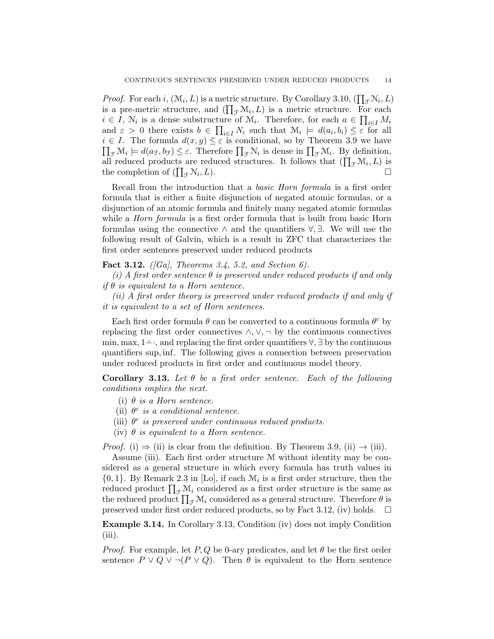*Proof.* For each i,  $(\mathcal{M}_i, L)$  is a metric structure. By Corollary 3.10,  $(\prod_{\mathcal{F}} \mathcal{N}_i, L)$ is a pre-metric structure, and  $(\prod_{\mathcal{F}} \mathcal{M}_i, L)$  is a metric structure. For each  $i \in I$ ,  $\mathcal{N}_i$  is a dense substructure of  $\mathcal{M}_i$ . Therefore, for each  $a \in \prod_{i \in I} M_i$ and  $\varepsilon > 0$  there exists  $b \in \prod_{i \in I} N_i$  such that  $\mathcal{M}_i \models d(a_i, b_i) \leq \varepsilon$  for all<br> $\delta \in I$ . The formula  $d(x, y) \leq \varepsilon$  is conditional so by Theorem 2.0 we have  $i \in I$ . The formula  $d(x, y) \leq \varepsilon$  is conditional, so by Theorem 3.9 we have  $\prod_{\mathcal{F}}\mathcal{M}_i \models d(a_{\mathcal{F}}, b_{\mathcal{F}}) \leq \varepsilon$ . Therefore  $\prod_{\mathcal{F}}\mathcal{N}_i$  is dense in  $\prod_{\mathcal{F}}\mathcal{M}_i$ . By definition, all reduced products are reduced structures. It follows that  $(\prod_{\mathcal{F}} \mathcal{M}_i, L)$  is the completion of  $(\prod_{\mathcal{F}} N_i)$  $,L$ ).

Recall from the introduction that a basic Horn formula is a first order formula that is either a finite disjunction of negated atomic formulas, or a disjunction of an atomic formula and finitely many negated atomic formulas while a *Horn formula* is a first order formula that is built from basic Horn formulas using the connective ∧ and the quantifiers  $\forall$ ,  $\exists$ . We will use the following result of Galvin, which is a result in ZFC that characterizes the first order sentences preserved under reduced products

## Fact 3.12. ([Ga], Theorems 3.4, 5.2, and Section 6).

(i) A first order sentence  $\theta$  is preserved under reduced products if and only if  $\theta$  is equivalent to a Horn sentence.

(ii) A first order theory is preserved under reduced products if and only if it is equivalent to a set of Horn sentences.

Each first order formula  $\theta$  can be converted to a continuous formula  $\theta^c$  by replacing the first order connectives  $\land, \lor, \neg$  by the continuous connectives min, max, 1−. ·, and replacing the first order quantifiers ∀, ∃ by the continuous quantifiers sup, inf. The following gives a connection between preservation under reduced products in first order and continuous model theory.

Corollary 3.13. Let  $\theta$  be a first order sentence. Each of the following conditions implies the next.

- (i)  $\theta$  is a Horn sentence.
- (ii)  $\theta^c$  is a conditional sentence.
- (iii)  $\theta^c$  is preserved under continuous reduced products.
- (iv)  $\theta$  is equivalent to a Horn sentence.

*Proof.* (i)  $\Rightarrow$  (ii) is clear from the definition. By Theorem 3.9, (ii)  $\rightarrow$  (iii).

Assume (iii). Each first order structure M without identity may be considered as a general structure in which every formula has truth values in  ${0, 1}$ . By Remark 2.3 in [Lo], if each  $\mathcal{M}_i$  is a first order structure, then the reduced product  $\prod_{\mathcal{F}} \mathcal{M}_i$  considered as a first order structure is the same as the reduced product  $\prod_{\mathcal{F}} \mathcal{M}_i$  considered as a general structure. Therefore  $\theta$  is preserved under first order reduced products, so by Fact 3.12, (iv) holds.  $\square$ 

Example 3.14. In Corollary 3.13, Condition (iv) does not imply Condition (iii).

*Proof.* For example, let P, Q be 0-ary predicates, and let  $\theta$  be the first order sentence  $P \vee Q \vee \neg (P \vee Q)$ . Then  $\theta$  is equivalent to the Horn sentence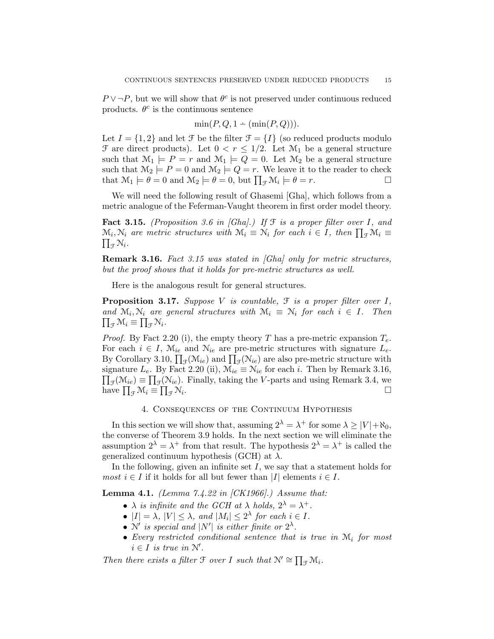$P \vee \neg P$ , but we will show that  $\theta^c$  is not preserved under continuous reduced products.  $\theta^c$  is the continuous sentence

$$
\min(P, Q, 1 - (\min(P, Q))).
$$

Let  $I = \{1, 2\}$  and let  $\mathcal{F}$  be the filter  $\mathcal{F} = \{I\}$  (so reduced products modulo  $\mathcal F$  are direct products). Let  $0 < r \leq 1/2$ . Let  $\mathcal M_1$  be a general structure such that  $\mathcal{M}_1 \models P = r$  and  $\mathcal{M}_1 \models Q = 0$ . Let  $\mathcal{M}_2$  be a general structure such that  $\mathcal{M}_2 \models P = 0$  and  $\mathcal{M}_2 \models Q = r$ . We leave it to the reader to check that  $\mathcal{M}_1 \models \theta = 0$  and  $\mathcal{M}_2 \models \theta = 0$ , but  $\prod_{\mathcal{F}} \mathcal{M}_i \models \theta = r$ .

We will need the following result of Ghasemi [Gha], which follows from a metric analogue of the Feferman-Vaught theorem in first order model theory.

**Fact 3.15.** (Proposition 3.6 in [Gha].) If  $\mathcal{F}$  is a proper filter over I, and  $\mathcal{M}_i, \mathcal{N}_i$  are metric structures with  $\mathcal{M}_i \equiv \mathcal{N}_i$  for each  $i \in I$ , then  $\prod_{\mathcal{F}} \mathcal{M}_i \equiv$  $\prod_{\mathcal{F}}\mathcal{N}_i$ .

Remark 3.16. Fact 3.15 was stated in [Gha] only for metric structures, but the proof shows that it holds for pre-metric structures as well.

Here is the analogous result for general structures.

**Proposition 3.17.** Suppose V is countable,  $\mathcal{F}$  is a proper filter over I, and  $\mathcal{M}_i, \mathcal{N}_i$  are general structures with  $\mathcal{M}_i \equiv \mathcal{N}_i$  for each  $i \in I$ . Then  $\prod_{\tau} \mathcal{M}_i \equiv \prod_{\tau} \mathcal{N}_i$ .  $_{\mathcal{F}}\mathcal{M}_i \equiv \prod_{\mathcal{F}}\mathcal{N}_i.$ 

*Proof.* By Fact 2.20 (i), the empty theory T has a pre-metric expansion  $T_e$ . For each  $i \in I$ ,  $\mathcal{M}_{ie}$  and  $\mathcal{N}_{ie}$  are pre-metric structures with signature  $L_e$ . By Corollary 3.10,  $\prod_{\mathcal{F}}(\mathcal{M}_{ie})$  and  $\prod_{\mathcal{F}}(\mathcal{N}_{ie})$  are also pre-metric structure with signature  $L_e$ . By Fact 2.20 (ii),  $\mathcal{M}_{ie} \equiv \mathcal{N}_{ie}$  for each i. Then by Remark 3.16,  $\prod_{\mathcal{F}}(\mathcal{M}_{ie}) \equiv \prod_{\mathcal{F}}(\mathcal{N}_{ie})$ . Finally, taking the V-parts and using Remark 3.4, we have  $\prod_{\mathcal{F}} \mathcal{M}_i \equiv \prod_{\mathcal{F}} \mathcal{N}_i$ .

## 4. Consequences of the Continuum Hypothesis

In this section we will show that, assuming  $2^{\lambda} = \lambda^+$  for some  $\lambda \ge |V| + \aleph_0$ , the converse of Theorem 3.9 holds. In the next section we will eliminate the assumption  $2^{\lambda} = \lambda^+$  from that result. The hypothesis  $2^{\lambda} = \lambda^+$  is called the generalized continuum hypothesis (GCH) at  $\lambda$ .

In the following, given an infinite set  $I$ , we say that a statement holds for *most*  $i \in I$  if it holds for all but fewer than |I| elements  $i \in I$ .

**Lemma 4.1.** (Lemma  $7.4.22$  in  $|CK1966|$ .) Assume that:

- $\lambda$  is infinite and the GCH at  $\lambda$  holds,  $2^{\lambda} = \lambda^+$ .
- $|I| = \lambda$ ,  $|V| \leq \lambda$ , and  $|M_i| \leq 2^{\lambda}$  for each  $i \in I$ .
- N' is special and  $|N'|$  is either finite or  $2^{\lambda}$ .
- Every restricted conditional sentence that is true in  $\mathcal{M}_i$  for most  $i \in I$  is true in  $\mathcal{N}'$ .

Then there exists a filter  $\mathcal F$  over I such that  $\mathcal N' \cong \prod_{\mathcal F} \mathcal M_i$ .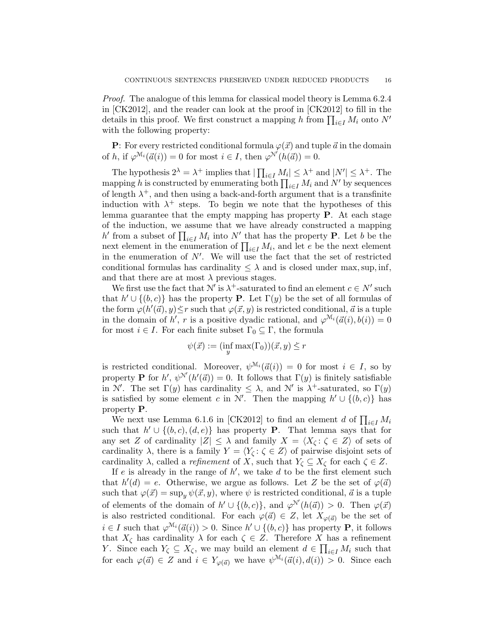Proof. The analogue of this lemma for classical model theory is Lemma 6.2.4 in [CK2012], and the reader can look at the proof in [CK2012] to fill in the details in this proof. We first construct a mapping h from  $\prod_{i\in I} M_i$  onto N' with the following property:

**P**: For every restricted conditional formula  $\varphi(\vec{x})$  and tuple  $\vec{a}$  in the domain of h, if  $\varphi^{\mathcal{M}_i}(\vec{a}(i)) = 0$  for most  $i \in I$ , then  $\varphi^{\mathcal{N}'}(h(\vec{a})) = 0$ .

The hypothesis  $2^{\lambda} = \lambda^+$  implies that  $|\prod_{i \in I} M_i| \leq \lambda^+$  and  $|N'| \leq \lambda^+$ . The mapping h is constructed by enumerating both  $\prod_{i\in I} M_i$  and N' by sequences of length  $\lambda^+$ , and then using a back-and-forth argument that is a transfinite induction with  $\lambda^+$  steps. To begin we note that the hypotheses of this lemma guarantee that the empty mapping has property P. At each stage of the induction, we assume that we have already constructed a mapping h' from a subset of  $\prod_{i\in I} M_i$  into  $N'$  that has the property **P**. Let b be the next element in the enumeration of  $\prod_{i\in I} M_i$ , and let e be the next element in the enumeration of  $N'$ . We will use the fact that the set of restricted conditional formulas has cardinality  $\leq \lambda$  and is closed under max, sup, inf, and that there are at most  $\lambda$  previous stages.

We first use the fact that  $\mathcal{N}'$  is  $\lambda^+$ -saturated to find an element  $c \in \mathbb{N}'$  such that  $h' \cup \{(b, c)\}\$  has the property **P**. Let  $\Gamma(y)$  be the set of all formulas of the form  $\varphi(h'(\vec{a}), y) \leq r$  such that  $\varphi(\vec{x}, y)$  is restricted conditional,  $\vec{a}$  is a tuple in the domain of h', r is a positive dyadic rational, and  $\varphi^{\mathcal{M}_i}(\vec{a}(i), b(i)) = 0$ for most  $i \in I$ . For each finite subset  $\Gamma_0 \subseteq \Gamma$ , the formula

$$
\psi(\vec{x}) := (\inf_y \max(\Gamma_0))(\vec{x}, y) \le r
$$

is restricted conditional. Moreover,  $\psi^{\mathcal{M}_i}(\vec{a}(i)) = 0$  for most  $i \in I$ , so by property **P** for h',  $\psi^{N'}(h'(\vec{a})) = 0$ . It follows that  $\Gamma(y)$  is finitely satisfiable in N'. The set  $\Gamma(y)$  has cardinality  $\leq \lambda$ , and N' is  $\lambda^+$ -saturated, so  $\Gamma(y)$ is satisfied by some element c in N'. Then the mapping  $h' \cup \{(b, c)\}\)$  has property P.

We next use Lemma 6.1.6 in [CK2012] to find an element d of  $\prod_{i\in I} M_i$ such that  $h' \cup \{(b, c), (d, e)\}\$  has property **P**. That lemma says that for any set Z of cardinality  $|Z| \leq \lambda$  and family  $X = \langle X_{\zeta} : \zeta \in Z \rangle$  of sets of cardinality  $\lambda$ , there is a family  $Y = \langle Y_{\zeta} : \zeta \in Z \rangle$  of pairwise disjoint sets of cardinality  $\lambda$ , called a *refinement* of X, such that  $Y_{\zeta} \subseteq X_{\zeta}$  for each  $\zeta \in Z$ .

If e is already in the range of  $h'$ , we take d to be the first element such that  $h'(d) = e$ . Otherwise, we argue as follows. Let Z be the set of  $\varphi(\vec{a})$ such that  $\varphi(\vec{x}) = \sup_{y} \psi(\vec{x}, y)$ , where  $\psi$  is restricted conditional,  $\vec{a}$  is a tuple of elements of the domain of  $h' \cup \{(b, c)\}\)$ , and  $\varphi^{\mathcal{N}'}(h(\vec{a})) > 0$ . Then  $\varphi(\vec{x})$ is also restricted conditional. For each  $\varphi(\vec{a}) \in Z$ , let  $X_{\varphi(\vec{a})}$  be the set of  $i \in I$  such that  $\varphi^{\mathcal{M}_i}(\vec{a}(i)) > 0$ . Since  $h' \cup \{(b, c)\}\$  has property **P**, it follows that  $X_{\zeta}$  has cardinality  $\lambda$  for each  $\zeta \in Z$ . Therefore X has a refinement Y. Since each  $Y_{\zeta} \subseteq X_{\zeta}$ , we may build an element  $d \in \prod_{i \in I} M_i$  such that for each  $\varphi(\vec{a}) \in Z$  and  $i \in Y_{\varphi(\vec{a})}$  we have  $\psi^{\mathcal{M}_i}(\vec{a}(i), d(i)) > 0$ . Since each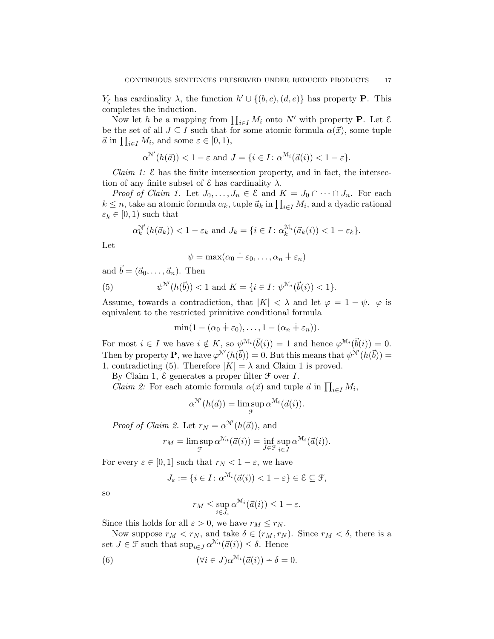$Y_{\zeta}$  has cardinality  $\lambda$ , the function  $h' \cup \{(b, c), (d, e)\}\$  has property **P**. This completes the induction.

Now let h be a mapping from  $\prod_{i\in I} M_i$  onto N' with property **P**. Let  $\mathcal{E}$ be the set of all  $J \subseteq I$  such that for some atomic formula  $\alpha(\vec{x})$ , some tuple  $\vec{a}$  in  $\prod_{i \in I} M_i$ , and some  $\varepsilon \in [0, 1)$ ,

$$
\alpha^{\mathcal{N}'}(h(\vec{a})) < 1 - \varepsilon \text{ and } J = \{i \in I : \alpha^{\mathcal{M}_i}(\vec{a}(i)) < 1 - \varepsilon\}.
$$

*Claim 1:*  $\&$  has the finite intersection property, and in fact, the intersection of any finite subset of  $\mathcal E$  has cardinality  $\lambda$ .

*Proof of Claim 1.* Let  $J_0, \ldots, J_n \in \mathcal{E}$  and  $K = J_0 \cap \cdots \cap J_n$ . For each  $k \leq n$ , take an atomic formula  $\alpha_k$ , tuple  $\vec{a}_k$  in  $\prod_{i \in I} M_i$ , and a dyadic rational  $\varepsilon_k \in [0,1)$  such that

$$
\alpha_k^{\mathcal{N}'}(h(\vec{a}_k)) < 1 - \varepsilon_k \text{ and } J_k = \{i \in I : \alpha_k^{\mathcal{M}_i}(\vec{a}_k(i)) < 1 - \varepsilon_k\}.
$$

Let

$$
\psi = \max(\alpha_0 \dotplus \varepsilon_0, \dots, \alpha_n \dotplus \varepsilon_n)
$$

and  $\vec{b} = (\vec{a}_0, \ldots, \vec{a}_n)$ . Then

(5) 
$$
\psi^{\mathcal{N}'}(h(\vec{b})) < 1
$$
 and  $K = \{i \in I : \psi^{\mathcal{M}_i}(\vec{b}(i)) < 1\}.$ 

Assume, towards a contradiction, that  $|K| < \lambda$  and let  $\varphi = 1 - \psi$ .  $\varphi$  is equivalent to the restricted primitive conditional formula

$$
\min(1-(\alpha_0+\varepsilon_0),\ldots,1-(\alpha_n+\varepsilon_n)).
$$

For most  $i \in I$  we have  $i \notin K$ , so  $\psi^{\mathcal{M}_i}(\vec{b}(i)) = 1$  and hence  $\varphi^{\mathcal{M}_i}(\vec{b}(i)) = 0$ . Then by property **P**, we have  $\varphi^{N'}(h(\vec{b})) = 0$ . But this means that  $\psi^{N'}(h(\vec{b})) =$ 1, contradicting (5). Therefore  $|K| = \lambda$  and Claim 1 is proved.

By Claim 1,  $\mathcal E$  generates a proper filter  $\mathcal F$  over  $I$ .

*Claim 2:* For each atomic formula  $\alpha(\vec{x})$  and tuple  $\vec{a}$  in  $\prod_{i \in I} M_i$ ,

$$
\alpha^{\mathcal{N}'}(h(\vec{a})) = \limsup_{\mathcal{F}} \alpha^{\mathcal{M}_i}(\vec{a}(i)).
$$

*Proof of Claim 2.* Let  $r_N = \alpha^{N'}(h(\vec{a}))$ , and

$$
r_M = \limsup_{\mathcal{F}} \alpha^{\mathcal{M}_i}(\vec{a}(i)) = \inf_{J \in \mathcal{F}} \sup_{i \in J} \alpha^{\mathcal{M}_i}(\vec{a}(i)).
$$

For every  $\varepsilon \in [0, 1]$  such that  $r_N < 1 - \varepsilon$ , we have

$$
J_{\varepsilon} := \{ i \in I \colon \alpha^{\mathcal{M}_i}(\vec{a}(i)) < 1 - \varepsilon \} \in \mathcal{E} \subseteq \mathcal{F},
$$

so

$$
r_M \leq \sup_{i \in J_{\varepsilon}} \alpha^{\mathcal{M}_i}(\vec{a}(i)) \leq 1 - \varepsilon.
$$

Since this holds for all  $\varepsilon > 0$ , we have  $r_M \leq r_N$ .

Now suppose  $r_M < r_N$ , and take  $\delta \in (r_M, r_N)$ . Since  $r_M < \delta$ , there is a set  $J \in \mathcal{F}$  such that  $\sup_{i \in J} \alpha^{\mathcal{M}_i}(\vec{a}(i)) \leq \delta$ . Hence

(6) 
$$
(\forall i \in J) \alpha^{\mathcal{M}_i}(\vec{a}(i)) \doteq \delta = 0.
$$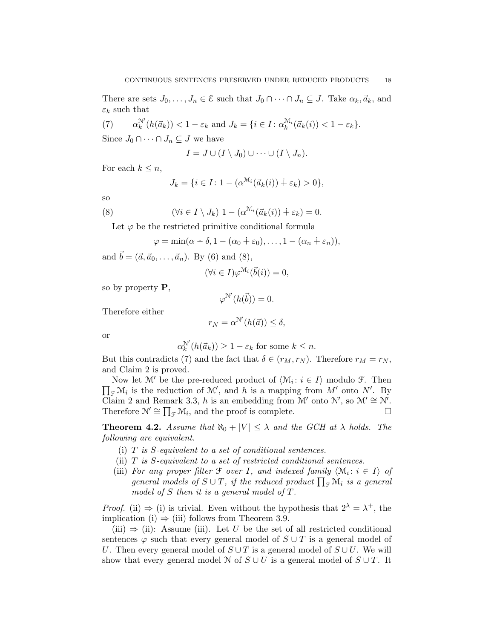There are sets  $J_0, \ldots, J_n \in \mathcal{E}$  such that  $J_0 \cap \cdots \cap J_n \subseteq J$ . Take  $\alpha_k, \vec{a}_k$ , and  $\varepsilon_k$  such that

 $(7)$  $\mathcal{L}_{k}^{\mathcal{N}}(h(\vec{a}_k)) < 1 - \varepsilon_k$  and  $J_k = \{i \in I : \alpha_k^{\mathcal{M}_i}(\vec{a}_k(i)) < 1 - \varepsilon_k\}.$ Since  $J_0 \cap \cdots \cap J_n \subseteq J$  we have

$$
I = J \cup (I \setminus J_0) \cup \cdots \cup (I \setminus J_n).
$$

For each  $k \leq n$ ,

$$
J_k = \{ i \in I : 1 - (\alpha^{\mathcal{M}_i}(\vec{a}_k(i)) + \varepsilon_k) > 0 \},
$$

so

(8) 
$$
(\forall i \in I \setminus J_k) \ 1 - (\alpha^{\mathcal{M}_i}(\vec{a}_k(i)) \dot{+} \varepsilon_k) = 0.
$$

Let  $\varphi$  be the restricted primitive conditional formula

$$
\varphi = \min(\alpha - \delta, 1 - (\alpha_0 + \varepsilon_0), \dots, 1 - (\alpha_n + \varepsilon_n)),
$$

and  $\vec{b} = (\vec{a}, \vec{a}_0, \dots, \vec{a}_n)$ . By (6) and (8),

$$
(\forall i \in I) \varphi^{\mathcal{M}_i}(\vec{b}(i)) = 0,
$$

so by property P,

$$
\varphi^{\mathcal{N}'}(h(\vec{b})) = 0.
$$

Therefore either

$$
r_N = \alpha^{N'}(h(\vec{a})) \le \delta,
$$

or

$$
\alpha_k^{\mathcal{N}'}(h(\vec{a}_k)) \ge 1 - \varepsilon_k \text{ for some } k \le n.
$$

But this contradicts (7) and the fact that  $\delta \in (r_M, r_N)$ . Therefore  $r_M = r_N$ , and Claim 2 is proved.

Now let  $\mathcal{M}'$  be the pre-reduced product of  $\langle \mathcal{M}_i : i \in I \rangle$  modulo  $\mathcal{F}$ . Then  $\prod_{\mathcal{F}}\mathcal{M}_i$  is the reduction of  $\mathcal{M}'$ , and h is a mapping from  $M'$  onto  $N'$ . By Claim 2 and Remark 3.3, h is an embedding from  $\mathcal{M}'$  onto  $\mathcal{N}'$ , so  $\mathcal{M}' \cong \mathcal{N}'$ . Therefore  $\mathcal{N}' \cong \prod_{\mathcal{F}} \mathcal{M}_i$ , and the proof is complete.

**Theorem 4.2.** Assume that  $\aleph_0 + |V| \leq \lambda$  and the GCH at  $\lambda$  holds. The following are equivalent.

- (i)  $T$  is S-equivalent to a set of conditional sentences.
- (ii)  $T$  is  $S$ -equivalent to a set of restricted conditional sentences.
- (iii) For any proper filter  $\mathcal F$  over I, and indexed family  $\langle \mathcal M_i : i \in I \rangle$  of general models of  $S \cup T$ , if the reduced product  $\prod_{\mathcal{F}} \mathcal{M}_i$  is a general model of  $S$  then it is a general model of  $T$ .

*Proof.* (ii)  $\Rightarrow$  (i) is trivial. Even without the hypothesis that  $2^{\lambda} = \lambda^{+}$ , the implication (i)  $\Rightarrow$  (iii) follows from Theorem 3.9.

(iii)  $\Rightarrow$  (ii): Assume (iii). Let U be the set of all restricted conditional sentences  $\varphi$  such that every general model of  $S \cup T$  is a general model of U. Then every general model of  $S \cup T$  is a general model of  $S \cup U$ . We will show that every general model N of  $S \cup U$  is a general model of  $S \cup T$ . It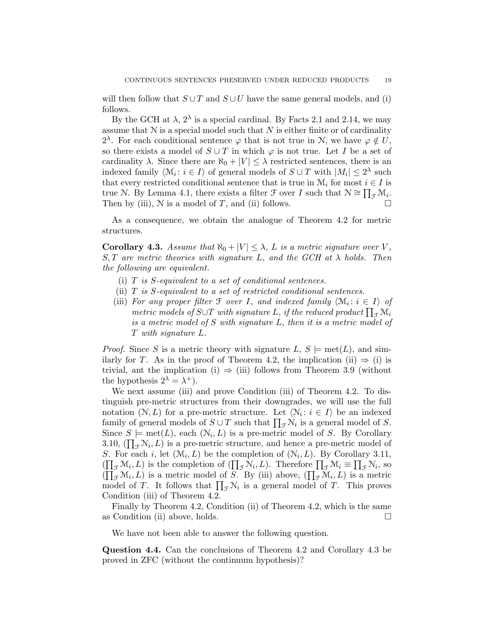will then follow that  $S \cup T$  and  $S \cup U$  have the same general models, and (i) follows.

By the GCH at  $\lambda$ ,  $2^{\lambda}$  is a special cardinal. By Facts 2.1 and 2.14, we may assume that  $N$  is a special model such that  $N$  is either finite or of cardinality  $2^{\lambda}$ . For each conditional sentence  $\varphi$  that is not true in N, we have  $\varphi \notin U$ , so there exists a model of  $S \cup T$  in which  $\varphi$  is not true. Let I be a set of cardinality  $\lambda$ . Since there are  $\aleph_0 + |V| \leq \lambda$  restricted sentences, there is an indexed family  $\langle \mathcal{M}_i : i \in I \rangle$  of general models of  $S \cup T$  with  $|M_i| \leq 2^{\lambda}$  such that every restricted conditional sentence that is true in  $\mathcal{M}_i$  for most  $i \in I$  is true N. By Lemma 4.1, there exists a filter  $\mathcal{F}$  over I such that  $\mathcal{N} \cong \prod_{\mathcal{F}} \mathcal{M}_i$ . Then by (iii),  $N$  is a model of T, and (ii) follows.

As a consequence, we obtain the analogue of Theorem 4.2 for metric structures.

**Corollary 4.3.** Assume that  $\aleph_0 + |V| \leq \lambda$ , L is a metric signature over V,  $S, T$  are metric theories with signature L, and the GCH at  $\lambda$  holds. Then the following are equivalent.

- (i)  $T$  is S-equivalent to a set of conditional sentences.
- (ii)  $T$  is S-equivalent to a set of restricted conditional sentences.
- (iii) For any proper filter  $\mathcal F$  over I, and indexed family  $\langle \mathcal M_i : i \in I \rangle$  of metric models of S∪T with signature L, if the reduced product  $\prod_{\mathcal{F}}\mathcal{M}_i$ is a metric model of S with signature L, then it is a metric model of T with signature L.

*Proof.* Since S is a metric theory with signature  $L, S \models \text{met}(L)$ , and similarly for T. As in the proof of Theorem 4.2, the implication (ii)  $\Rightarrow$  (i) is trivial, ant the implication (i)  $\Rightarrow$  (iii) follows from Theorem 3.9 (without the hypothesis  $2^{\lambda} = \lambda^{+}$ .

We next assume (iii) and prove Condition (iii) of Theorem 4.2. To distinguish pre-metric structures from their downgrades, we will use the full notation  $(N, L)$  for a pre-metric structure. Let  $\langle \mathcal{N}_i : i \in I \rangle$  be an indexed family of general models of  $S \cup T$  such that  $\prod_{\mathcal{F}} \mathcal{N}_i$  is a general model of S. Since  $S \models \text{met}(L)$ , each  $(\mathcal{N}_i, L)$  is a pre-metric model of S. By Corollary 3.10,  $(\prod_{\mathcal{F}} N_i, L)$  is a pre-metric structure, and hence a pre-metric model of S. For each i, let  $(\mathcal{M}_i, L)$  be the completion of  $(\mathcal{N}_i, L)$ . By Corollary 3.11,  $(\prod_{\mathcal{F}}\mathcal{M}_i,L)$  is the completion of  $(\prod_{\mathcal{F}}\mathcal{N}_i,L)$ . Therefore  $\prod_{\mathcal{F}}\mathcal{M}_i \equiv \prod_{\mathcal{F}}\mathcal{N}_i$ , so  $(\prod_{\mathcal{F}}\mathcal{M}_i,L)$  is a metric model of S. By (iii) above,  $(\prod_{\mathcal{F}}\mathcal{M}_i,L)$  is a metric model of T. It follows that  $\prod_{\mathcal{F}} \mathcal{N}_i$  is a general model of T. This proves Condition (iii) of Theorem 4.2.

Finally by Theorem 4.2, Condition (ii) of Theorem 4.2, which is the same as Condition (ii) above, holds.  $\square$ 

We have not been able to answer the following question.

Question 4.4. Can the conclusions of Theorem 4.2 and Corollary 4.3 be proved in ZFC (without the continuum hypothesis)?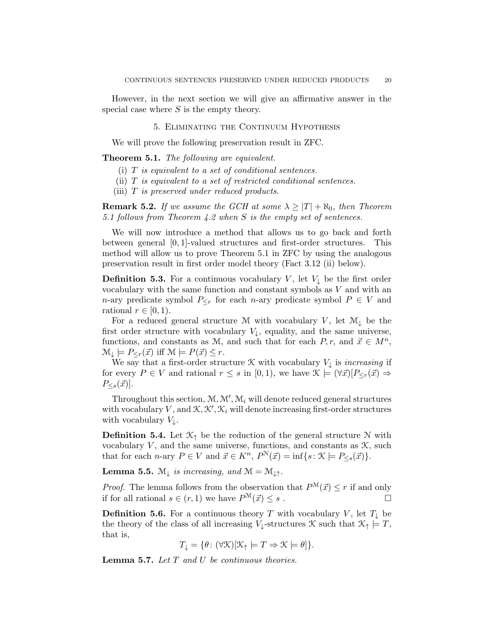However, in the next section we will give an affirmative answer in the special case where  $S$  is the empty theory.

#### 5. Eliminating the Continuum Hypothesis

We will prove the following preservation result in ZFC.

Theorem 5.1. The following are equivalent.

- (i) T is equivalent to a set of conditional sentences.
- (ii)  $T$  is equivalent to a set of restricted conditional sentences.
- (iii)  $T$  is preserved under reduced products.

**Remark 5.2.** If we assume the GCH at some  $\lambda \geq |T| + \aleph_0$ , then Theorem 5.1 follows from Theorem 4.2 when S is the empty set of sentences.

We will now introduce a method that allows us to go back and forth between general [0, 1]-valued structures and first-order structures. This method will allow us to prove Theorem 5.1 in ZFC by using the analogous preservation result in first order model theory (Fact 3.12 (ii) below).

**Definition 5.3.** For a continuous vocabulary V, let  $V_{\downarrow}$  be the first order vocabulary with the same function and constant symbols as V and with an n-ary predicate symbol  $P_{\leq r}$  for each n-ary predicate symbol  $P \in V$  and rational  $r \in [0, 1)$ .

For a reduced general structure M with vocabulary V, let  $\mathcal{M}_{\downarrow}$  be the first order structure with vocabulary  $V_{\downarrow}$ , equality, and the same universe, functions, and constants as M, and such that for each  $P, r$ , and  $\vec{x} \in M^n$ ,  $\mathcal{M}_{\downarrow} \models P_{\leq r}(\vec{x}) \text{ iff } \mathcal{M} \models P(\vec{x}) \leq r.$ 

We say that a first-order structure  $\mathcal K$  with vocabulary  $V_{\downarrow}$  is *increasing* if for every  $P \in V$  and rational  $r \leq s$  in [0,1], we have  $\mathcal{K} \models (\forall \vec{x})[P_{\leq r}(\vec{x}) \Rightarrow$  $P_{\leq s}(\vec{x})$ .

Throughout this section,  $M, M', M_i$  will denote reduced general structures with vocabulary V, and  $\mathcal{K}, \mathcal{K}', \mathcal{K}_i$  will denote increasing first-order structures with vocabulary  $V_{\downarrow}$ .

**Definition 5.4.** Let  $\mathcal{K}_{\uparrow}$  be the reduction of the general structure N with vocabulary  $V$ , and the same universe, functions, and constants as  $K$ , such that for each *n*-ary  $P \in V$  and  $\vec{x} \in K^n$ ,  $P^N(\vec{x}) = \inf\{s : \mathcal{K} \models P_{\leq s}(\vec{x})\}.$ 

**Lemma 5.5.**  $\mathcal{M}_{\downarrow}$  is increasing, and  $\mathcal{M} = \mathcal{M}_{\downarrow \uparrow}$ .

*Proof.* The lemma follows from the observation that  $P^{\mathcal{M}}(\vec{x}) \leq r$  if and only if for all rational  $s \in (r, 1)$  we have  $P^{\mathcal{M}}(\vec{x}) \leq s$ .

**Definition 5.6.** For a continuous theory T with vocabulary V, let  $T_{\downarrow}$  be the theory of the class of all increasing  $V_{\downarrow}$ -structures  $\mathcal K$  such that  $\mathcal K_{\uparrow} \models T$ , that is,

 $T_{\perp} = {\theta : (\forall \mathcal{K})[\mathcal{K}_{\uparrow} \models T \Rightarrow \mathcal{K} \models \theta]}$ .

**Lemma 5.7.** Let  $T$  and  $U$  be continuous theories.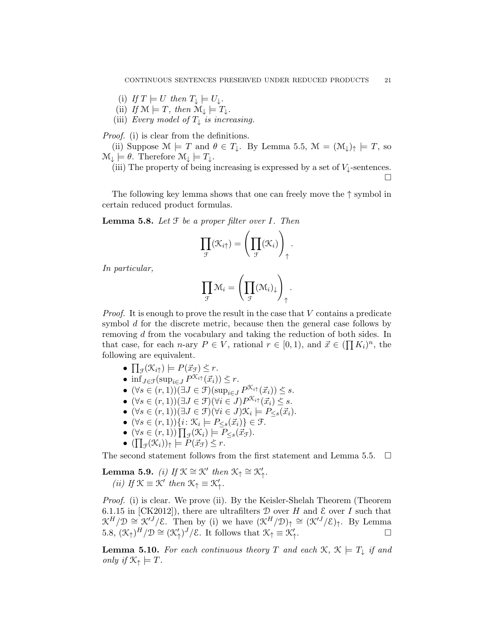- (i) If  $T \models U$  then  $T_{\perp} \models U_{\perp}$ .
- (ii) If  $\mathcal{M} \models T$ , then  $\mathcal{M}_{\downarrow} \models T_{\downarrow}$ .
- (iii) Every model of  $T_{\downarrow}$  is increasing.

Proof. (i) is clear from the definitions.

(ii) Suppose  $\mathcal{M} \models T$  and  $\theta \in T_{\downarrow}$ . By Lemma 5.5,  $\mathcal{M} = (\mathcal{M}_{\downarrow})_{\uparrow} \models T$ , so  $\mathcal{M}_{\downarrow} \models \theta$ . Therefore  $\mathcal{M}_{\downarrow} \models T_{\downarrow}$ .

(iii) The property of being increasing is expressed by a set of  $V_{\downarrow}$ -sentences.  $\Box$ 

The following key lemma shows that one can freely move the  $\uparrow$  symbol in certain reduced product formulas.

**Lemma 5.8.** Let  $F$  be a proper filter over  $I$ . Then

$$
\prod_{\mathcal{F}}(\mathcal{K}_{i\uparrow}) = \left(\prod_{\mathcal{F}}(\mathcal{K}_{i})\right)_{\uparrow}.
$$

In particular,

$$
\prod_{\mathcal{F}}\mathcal{M}_i = \left(\prod_{\mathcal{F}}(\mathcal{M}_i)_{\downarrow}\right)_{\uparrow}.
$$

*Proof.* It is enough to prove the result in the case that  $V$  contains a predicate symbol d for the discrete metric, because then the general case follows by removing d from the vocabulary and taking the reduction of both sides. In that case, for each *n*-ary  $P \in V$ , rational  $r \in [0,1)$ , and  $\vec{x} \in (\prod K_i)^n$ , the following are equivalent.

- $\prod_{\mathcal{F}}(\mathcal{K}_{i\uparrow}) \models P(\vec{x}_{\mathcal{F}}) \leq r.$
- inf<sub>J∈F</sub>(sup<sub>i∈J</sub>  $P^{\mathcal{K}_{i\uparrow}}(\vec{x}_i)) \leq r$ .
- $(\forall s \in (r, 1))(\exists J \in \mathcal{F})(\sup_{i \in J} P^{\mathcal{K}_{i\uparrow}}(\vec{x}_i)) \leq s.$
- $\bullet$  (∀s ∈ (r, 1))(∃J ∈ F)(∀i ∈ J) $P^{X_{i\uparrow}}(\vec{x_i}) \leq s$ .
- $(\forall s \in (r,1))(\exists J \in \mathcal{F})(\forall i \in J)\mathcal{K}_i \models P_{\leq s}(\vec{x}_i).$
- $(\forall s \in (r,1))\{i: \mathcal{K}_i \models P_{\leq s}(\vec{x}_i)\}\in \mathcal{F}.$
- $(\forall s \in (r,1)) \prod_{\mathcal{F}} (\mathcal{K}_i) \models P_{\leq s} (\vec{x}_{\mathcal{F}}).$
- $(\prod_{\mathcal{F}}(\mathcal{K}_i))_{\uparrow} \models P(\vec{x}_{\mathcal{F}}) \leq r.$

The second statement follows from the first statement and Lemma 5.5.  $\Box$ 

**Lemma 5.9.** (i) If  $\mathcal{K} \cong \mathcal{K}'$  then  $\mathcal{K}_{\uparrow} \cong \mathcal{K}'_{\uparrow}$ . (*ii*) If  $\mathcal{K} \equiv \mathcal{K}'$  then  $\mathcal{K}_{\uparrow} \equiv \mathcal{K}'_{\uparrow}$ .

Proof. (i) is clear. We prove (ii). By the Keisler-Shelah Theorem (Theorem 6.1.15 in [CK2012]), there are ultrafilters  $D$  over H and  $\mathcal E$  over I such that  $\mathcal{K}^H/\mathcal{D} \cong \mathcal{K}'^J/\mathcal{E}$ . Then by (i) we have  $(\mathcal{K}^H/\mathcal{D})_\uparrow \cong (\mathcal{K}'^J/\mathcal{E})_\uparrow$ . By Lemma 5.8,  $(\mathcal{K}_{\uparrow})^H/\mathcal{D} \cong (\mathcal{K}'_{\uparrow})^J/\mathcal{E}$ . It follows that  $\mathcal{K}_{\uparrow} \equiv \mathcal{K}'_{\uparrow}$ . В последните последните и производите в последните и при в последните и при в последните и при и<br>В последните последните последните последните последните последните последните последните последните последнит<br>В последнит

**Lemma 5.10.** For each continuous theory T and each  $\mathcal{K}, \mathcal{K} \models T_{\downarrow}$  if and only if  $\mathcal{K}_{\uparrow} \models T$ .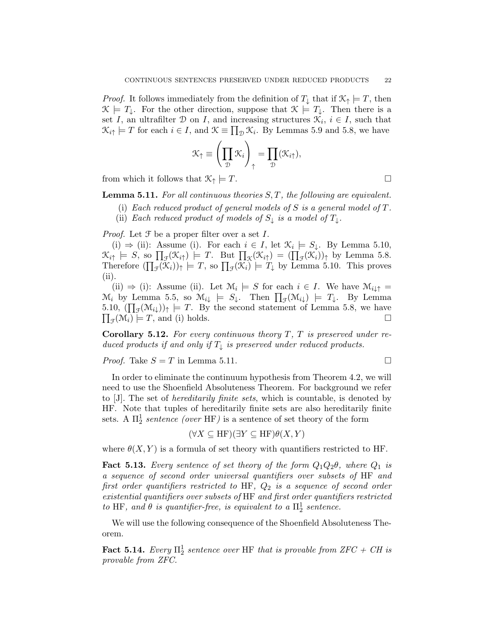*Proof.* It follows immediately from the definition of  $T_{\perp}$  that if  $\mathcal{K}_{\uparrow} \models T$ , then  $\mathcal{K} \models T_{\downarrow}$ . For the other direction, suppose that  $\mathcal{K} \models T_{\downarrow}$ . Then there is a set I, an ultrafilter  $D$  on I, and increasing structures  $\mathcal{K}_i$ ,  $i \in I$ , such that  $\mathcal{K}_{i\uparrow} \models T$  for each  $i \in I$ , and  $\mathcal{K} \equiv \prod_{\mathcal{D}} \mathcal{K}_i$ . By Lemmas 5.9 and 5.8, we have

$$
\mathcal{K}_{\uparrow} \equiv \left(\prod_{\mathcal{D}} \mathcal{K}_i\right)_{\uparrow} = \prod_{\mathcal{D}} (\mathcal{K}_{i\uparrow}),
$$

from which it follows that  $\mathcal{K}_{\uparrow} \models T$ .

**Lemma 5.11.** For all continuous theories  $S, T$ , the following are equivalent.

- (i) Each reduced product of general models of S is a general model of  $T$ .
- (ii) Each reduced product of models of  $S_{\downarrow}$  is a model of  $T_{\downarrow}$ .

*Proof.* Let  $\mathcal F$  be a proper filter over a set  $I$ .

(i)  $\Rightarrow$  (ii): Assume (i). For each  $i \in I$ , let  $\mathcal{K}_i \models S_{\downarrow}$ . By Lemma 5.10,  $\mathcal{K}_{i\uparrow} \models S$ , so  $\prod_{\mathcal{F}}(\mathcal{K}_{i\uparrow}) \models T$ . But  $\prod_{\mathcal{K}}(\mathcal{K}_{i\uparrow}) = (\prod_{\mathcal{F}}(\mathcal{K}_i))_{\uparrow}$  by Lemma 5.8. Therefore  $(\prod_{\mathcal{F}}(\mathcal{K}_i))_{\uparrow} \models T$ , so  $\prod_{\mathcal{F}}(\mathcal{K}_i) \models T_{\downarrow}$  by Lemma 5.10. This proves (ii).

(ii)  $\Rightarrow$  (i): Assume (ii). Let  $\mathcal{M}_i \models S$  for each  $i \in I$ . We have  $\mathcal{M}_{i \downarrow \uparrow} =$  $\mathcal{M}_i$  by Lemma 5.5, so  $\mathcal{M}_{i\downarrow} \models S_{\downarrow}$ . Then  $\prod_{\mathcal{F}}(\mathcal{M}_{i\downarrow}) \models T_{\downarrow}$ . By Lemma 5.10,  $(\prod_{\mathcal{F}}(\mathcal{M}_{i\downarrow}))_{\uparrow} \models T$ . By the second statement of Lemma 5.8, we have  $\prod_{\mathcal{F}}(\mathcal{M}_i) \models T$ , and (i) holds.

**Corollary 5.12.** For every continuous theory  $T$ ,  $T$  is preserved under reduced products if and only if  $T_{\downarrow}$  is preserved under reduced products.

*Proof.* Take  $S = T$  in Lemma 5.11.

In order to eliminate the continuum hypothesis from Theorem 4.2, we will need to use the Shoenfield Absoluteness Theorem. For background we refer to [J]. The set of hereditarily finite sets, which is countable, is denoted by HF. Note that tuples of hereditarily finite sets are also hereditarily finite sets. A  $\Pi_2^1$  sentence (over HF) is a sentence of set theory of the form

$$
(\forall X \subseteq HF)(\exists Y \subseteq HF)\theta(X, Y)
$$

where  $\theta(X, Y)$  is a formula of set theory with quantifiers restricted to HF.

**Fact 5.13.** Every sentence of set theory of the form  $Q_1Q_2\theta$ , where  $Q_1$  is a sequence of second order universal quantifiers over subsets of HF and first order quantifiers restricted to HF,  $Q_2$  is a sequence of second order existential quantifiers over subsets of HF and first order quantifiers restricted to HF, and  $\theta$  is quantifier-free, is equivalent to a  $\Pi^1_2$  sentence.

We will use the following consequence of the Shoenfield Absoluteness Theorem.

**Fact 5.14.** Every  $\Pi_2^1$  sentence over HF that is provable from ZFC + CH is provable from ZFC.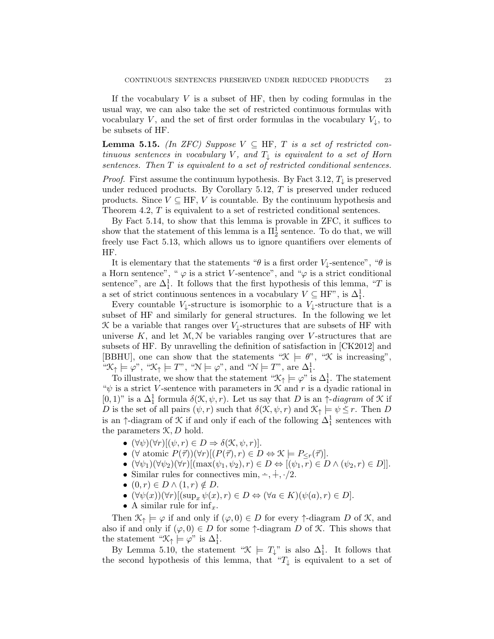If the vocabulary  $V$  is a subset of HF, then by coding formulas in the usual way, we can also take the set of restricted continuous formulas with vocabulary V, and the set of first order formulas in the vocabulary  $V_{\downarrow}$ , to be subsets of HF.

**Lemma 5.15.** (In ZFC) Suppose  $V \subseteq HF$ , T is a set of restricted continuous sentences in vocabulary V, and  $T_{\downarrow}$  is equivalent to a set of Horn sentences. Then T is equivalent to a set of restricted conditional sentences.

*Proof.* First assume the continuum hypothesis. By Fact 3.12,  $T_{\downarrow}$  is preserved under reduced products. By Corollary  $5.12$ ,  $T$  is preserved under reduced products. Since  $V \subseteq HF, V$  is countable. By the continuum hypothesis and Theorem 4.2, T is equivalent to a set of restricted conditional sentences.

By Fact 5.14, to show that this lemma is provable in ZFC, it suffices to show that the statement of this lemma is a  $\Pi^1_2$  sentence. To do that, we will freely use Fact 5.13, which allows us to ignore quantifiers over elements of HF.

It is elementary that the statements " $\theta$  is a first order V<sub>⊥</sub>-sentence", " $\theta$  is a Horn sentence", " $\varphi$  is a strict V-sentence", and " $\varphi$  is a strict conditional sentence", are  $\Delta_1^1$ . It follows that the first hypothesis of this lemma, "T is a set of strict continuous sentences in a vocabulary  $V \subseteq HF$ , is  $\Delta_1^1$ .

Every countable  $V_{\downarrow}$ -structure is isomorphic to a  $V_{\downarrow}$ -structure that is a subset of HF and similarly for general structures. In the following we let K be a variable that ranges over  $V_{\downarrow}$ -structures that are subsets of HF with universe  $K$ , and let  $\mathcal{M}, \mathcal{N}$  be variables ranging over *V*-structures that are subsets of HF. By unravelling the definition of satisfaction in [CK2012] and [BBHU], one can show that the statements " $\mathcal{K} \models \theta$ ", " $\mathcal{K}$  is increasing", " $\mathcal{K}_{\uparrow} \models \varphi$ ", " $\mathcal{K}_{\uparrow} \models T$ ", " $\mathcal{N} \models \varphi$ ", and " $\mathcal{N} \models T$ ", are  $\Delta_1^1$ .

To illustrate, we show that the statement " $\mathcal{K}_{\uparrow} \models \varphi$ " is  $\Delta_1^1$ . The statement " $\psi$  is a strict V-sentence with parameters in  $\mathcal K$  and r is a dyadic rational in  $[0,1)$ " is a  $\Delta_1^1$  formula  $\delta(\mathcal{K}, \psi, r)$ . Let us say that D is an  $\uparrow$ -diagram of K if D is the set of all pairs  $(\psi, r)$  such that  $\delta(\mathcal{K}, \psi, r)$  and  $\mathcal{K}_{\uparrow} \models \psi \leq r$ . Then D is an  $\uparrow$ -diagram of  $\mathcal K$  if and only if each of the following  $\Delta^1_1$  sentences with the parameters  $K, D$  hold.

- $(\forall \psi)(\forall r)[(\psi, r) \in D \Rightarrow \delta(\mathcal{K}, \psi, r)].$
- ( $\forall$  atomic  $P(\vec{\tau})\rangle(\forall r)[(P(\vec{\tau}), r) \in D \Leftrightarrow \mathcal{K} \models P_{\leq r}(\vec{\tau})].$
- $(\forall \psi_1)(\forall \psi_2)(\forall r)[(\max(\psi_1, \psi_2), r) \in D \Leftrightarrow [(\psi_1, r) \in D \wedge (\psi_2, r) \in D]].$
- Similar rules for connectives min,  $\div$ ,  $\div$ ,  $\div/2$ .
- $(0, r) \in D \wedge (1, r) \notin D$ .
- $(\forall \psi(x))(\forall r)[(\sup_x \psi(x), r) \in D \Leftrightarrow (\forall a \in K)(\psi(a), r) \in D].$
- A similar rule for  $\inf_x$ .

Then  $\mathcal{K}_{\uparrow} \models \varphi$  if and only if  $(\varphi, 0) \in D$  for every  $\uparrow$ -diagram D of  $\mathcal{K}$ , and also if and only if  $(\varphi, 0) \in D$  for some  $\uparrow$ -diagram D of K. This shows that the statement " $\mathcal{K}_{\uparrow} \models \varphi$ " is  $\Delta_1^1$ .

By Lemma 5.10, the statement " $\mathcal{K} \models T_{\downarrow}$ " is also  $\Delta_1^1$ . It follows that the second hypothesis of this lemma, that " $T_{\downarrow}$  is equivalent to a set of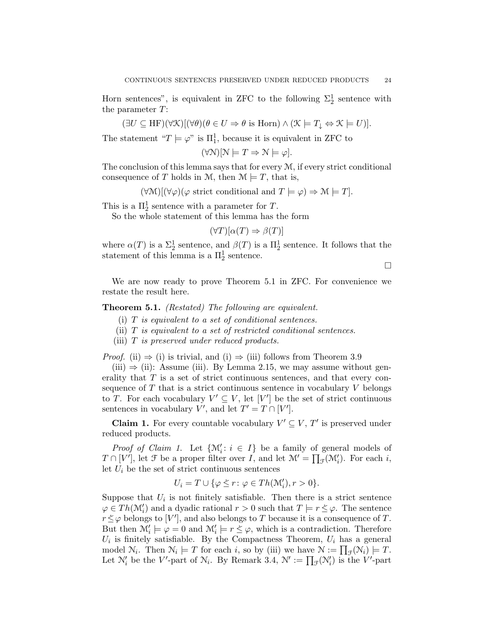Horn sentences", is equivalent in ZFC to the following  $\Sigma_2^1$  sentence with the parameter T:

$$
(\exists U \subseteq \text{HF})(\forall \mathcal{K})[(\forall \theta)(\theta \in U \Rightarrow \theta \text{ is Horn}) \land (\mathcal{K} \models T_{\downarrow} \Leftrightarrow \mathcal{K} \models U)].
$$

The statement " $T \models \varphi$ " is  $\Pi_1^1$ , because it is equivalent in ZFC to

$$
(\forall N)[N \models T \Rightarrow N \models \varphi].
$$

The conclusion of this lemma says that for every  $\mathcal{M}$ , if every strict conditional consequence of T holds in M, then  $\mathcal{M} \models T$ , that is,

 $(\forall \mathcal{M})[(\forall \varphi)(\varphi \text{ strict conditional and } T \models \varphi) \Rightarrow \mathcal{M} \models T].$ 

This is a  $\Pi_2^1$  sentence with a parameter for T.

So the whole statement of this lemma has the form

$$
(\forall T)[\alpha(T) \Rightarrow \beta(T)]
$$

where  $\alpha(T)$  is a  $\Sigma_2^1$  sentence, and  $\beta(T)$  is a  $\Pi_2^1$  sentence. It follows that the statement of this lemma is a  $\Pi_2^1$  sentence.

 $\Box$ 

We are now ready to prove Theorem 5.1 in ZFC. For convenience we restate the result here.

Theorem 5.1. (Restated) The following are equivalent.

- (i)  $T$  is equivalent to a set of conditional sentences.
- (ii)  $T$  is equivalent to a set of restricted conditional sentences.
- (iii) T is preserved under reduced products.

*Proof.* (ii)  $\Rightarrow$  (i) is trivial, and (i)  $\Rightarrow$  (iii) follows from Theorem 3.9

 $(iii) \Rightarrow (ii)$ : Assume (iii). By Lemma 2.15, we may assume without generality that  $T$  is a set of strict continuous sentences, and that every consequence of  $T$  that is a strict continuous sentence in vocabulary  $V$  belongs to T. For each vocabulary  $V' \subseteq V$ , let  $[V']$  be the set of strict continuous sentences in vocabulary V', and let  $T' = T \cap [V']$ .

**Claim 1.** For every countable vocabulary  $V' \subseteq V$ ,  $T'$  is preserved under reduced products.

*Proof of Claim 1*. Let  $\{M'_i : i \in I\}$  be a family of general models of  $T \cap [V']$ , let  $\mathcal F$  be a proper filter over  $I$ , and let  $\mathcal M' = \prod_{\mathcal F}(\mathcal M'_i)$ . For each i, let  $U_i$  be the set of strict continuous sentences

$$
U_i = T \cup \{ \varphi \le r \colon \varphi \in Th(\mathcal{M}'_i), r > 0 \}.
$$

Suppose that  $U_i$  is not finitely satisfiable. Then there is a strict sentence  $\varphi \in Th(\mathcal{M}'_i)$  and a dyadic rational  $r > 0$  such that  $T \models r \leq \varphi$ . The sentence  $r \leq \varphi$  belongs to  $[V']$ , and also belongs to T because it is a consequence of T. But then  $\mathcal{M}'_i \models \varphi = 0$  and  $\mathcal{M}'_i \models r \leq \varphi$ , which is a contradiction. Therefore  $U_i$  is finitely satisfiable. By the Compactness Theorem,  $U_i$  has a general model  $\mathcal{N}_i$ . Then  $\mathcal{N}_i \models T$  for each i, so by (iii) we have  $\mathcal{N} := \prod_{\mathcal{F}}(\mathcal{N}_i) \models T$ . Let  $\mathcal{N}'_i$  be the V'-part of  $\mathcal{N}_i$ . By Remark 3.4,  $\mathcal{N}' := \prod_{\mathcal{F}} (\mathcal{N}'_i)$  is the V'-part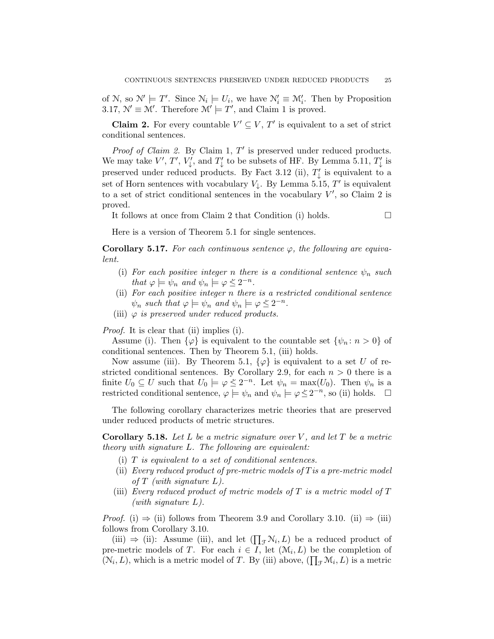of N, so  $\mathcal{N}' \models T'$ . Since  $\mathcal{N}_i \models U_i$ , we have  $\mathcal{N}'_i \equiv \mathcal{M}'_i$ . Then by Proposition 3.17,  $\mathcal{N}' \equiv \mathcal{M}'$ . Therefore  $\mathcal{M}' \models T'$ , and Claim 1 is proved.

**Claim 2.** For every countable  $V' \subseteq V$ ,  $T'$  is equivalent to a set of strict conditional sentences.

*Proof of Claim 2.* By Claim 1,  $T'$  is preserved under reduced products. We may take  $V', T', V'_{\downarrow}$ , and  $T'_{\downarrow}$  to be subsets of HF. By Lemma 5.11,  $T'_{\downarrow}$  is preserved under reduced products. By Fact 3.12 (ii),  $T'_{\downarrow}$  is equivalent to a set of Horn sentences with vocabulary  $V_{\downarrow}$ . By Lemma 5.15, T' is equivalent to a set of strict conditional sentences in the vocabulary  $V'$ , so Claim 2 is proved.

It follows at once from Claim 2 that Condition (i) holds.  $\Box$ 

Here is a version of Theorem 5.1 for single sentences.

**Corollary 5.17.** For each continuous sentence  $\varphi$ , the following are equivalent.

- (i) For each positive integer n there is a conditional sentence  $\psi_n$  such that  $\varphi \models \psi_n$  and  $\psi_n \models \varphi \leq 2^{-n}$ .
- (ii) For each positive integer n there is a restricted conditional sentence  $\psi_n$  such that  $\varphi \models \psi_n$  and  $\psi_n \models \varphi \leq 2^{-n}$ .
- (iii)  $\varphi$  is preserved under reduced products.

Proof. It is clear that (ii) implies (i).

Assume (i). Then  $\{\varphi\}$  is equivalent to the countable set  $\{\psi_n: n>0\}$  of conditional sentences. Then by Theorem 5.1, (iii) holds.

Now assume (iii). By Theorem 5.1,  $\{\varphi\}$  is equivalent to a set U of restricted conditional sentences. By Corollary 2.9, for each  $n > 0$  there is a finite  $U_0 \subseteq U$  such that  $U_0 \models \varphi \leq 2^{-n}$ . Let  $\psi_n = \max(U_0)$ . Then  $\psi_n$  is a nextiated conditional sections  $\psi_n$  is a next  $U_0$ . restricted conditional sentence,  $\varphi \models \psi_n$  and  $\psi_n \models \varphi \leq 2^{-n}$ , so (ii) holds.  $\Box$ 

The following corollary characterizes metric theories that are preserved under reduced products of metric structures.

**Corollary 5.18.** Let L be a metric signature over V, and let T be a metric theory with signature L. The following are equivalent:

- (i)  $T$  is equivalent to a set of conditional sentences.
- (ii) Every reduced product of pre-metric models of  $T$  is a pre-metric model of  $T$  (with signature  $L$ ).
- (iii) Every reduced product of metric models of  $T$  is a metric model of  $T$ (with signature  $L$ ).

*Proof.* (i)  $\Rightarrow$  (ii) follows from Theorem 3.9 and Corollary 3.10. (ii)  $\Rightarrow$  (iii) follows from Corollary 3.10.

(iii)  $\Rightarrow$  (ii): Assume (iii), and let  $(\prod_{\mathcal{F}} N_i, L)$  be a reduced product of pre-metric models of T. For each  $i \in I$ , let  $(\mathcal{M}_i, L)$  be the completion of  $(N_i, L)$ , which is a metric model of T. By (iii) above,  $(\prod_{\mathcal{F}} \mathcal{M}_i, L)$  is a metric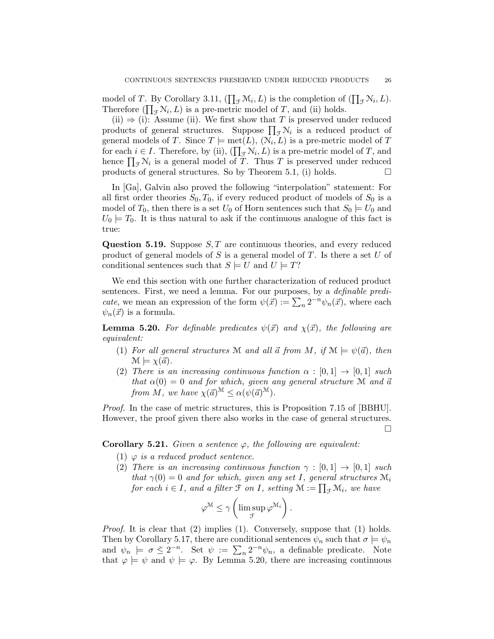model of T. By Corollary 3.11,  $(\prod_{\mathcal{F}} \mathcal{M}_i, L)$  is the completion of  $(\prod_{\mathcal{F}} \mathcal{N}_i, L)$ . Therefore  $(\prod_{\mathcal{F}} N_i, L)$  is a pre-metric model of T, and (ii) holds.

(ii)  $\Rightarrow$  (i): Assume (ii). We first show that T is preserved under reduced products of general structures. Suppose  $\prod_{\mathcal{F}} \mathcal{N}_i$  is a reduced product of general models of T. Since  $T \models \text{met}(L), (\mathcal{N}_i, L)$  is a pre-metric model of T for each  $i \in I$ . Therefore, by (ii),  $(\prod_{\mathcal{F}} \mathcal{N}_i, L)$  is a pre-metric model of T, and hence  $\prod_{\mathcal{F}} \mathcal{N}_i$  is a general model of T. Thus T is preserved under reduced products of general structures. So by Theorem 5.1, (i) holds.  $\square$ 

In [Ga], Galvin also proved the following "interpolation" statement: For all first order theories  $S_0, T_0$ , if every reduced product of models of  $S_0$  is a model of  $T_0$ , then there is a set  $U_0$  of Horn sentences such that  $S_0 \models U_0$  and  $U_0 \models T_0$ . It is thus natural to ask if the continuous analogue of this fact is true:

Question 5.19. Suppose  $S, T$  are continuous theories, and every reduced product of general models of S is a general model of T. Is there a set U of conditional sentences such that  $S \models U$  and  $U \models T$ ?

We end this section with one further characterization of reduced product sentences. First, we need a lemma. For our purposes, by a definable predi*cate*, we mean an expression of the form  $\psi(\vec{x}) := \sum_{n} 2^{-n} \psi_n(\vec{x})$ , where each  $\psi_n(\vec{x})$  is a formula.

**Lemma 5.20.** For definable predicates  $\psi(\vec{x})$  and  $\chi(\vec{x})$ , the following are equivalent:

- (1) For all general structures M and all  $\vec{a}$  from M, if  $M \models \psi(\vec{a})$ , then  $\mathcal{M} \models \chi(\vec{a}).$
- (2) There is an increasing continuous function  $\alpha : [0,1] \rightarrow [0,1]$  such that  $\alpha(0) = 0$  and for which, given any general structure M and  $\vec{a}$ from M, we have  $\chi(\vec{a})^{\mathcal{M}} \leq \alpha(\psi(\vec{a})^{\mathcal{M}})$ .

Proof. In the case of metric structures, this is Proposition 7.15 of [BBHU]. However, the proof given there also works in the case of general structures.  $\Box$ 

**Corollary 5.21.** Given a sentence  $\varphi$ , the following are equivalent:

- (1)  $\varphi$  is a reduced product sentence.
- (2) There is an increasing continuous function  $\gamma : [0,1] \rightarrow [0,1]$  such that  $\gamma(0) = 0$  and for which, given any set I, general structures  $\mathcal{M}_i$ for each  $i \in I$ , and a filter  $\mathfrak{F}$  on  $I$ , setting  $\mathfrak{M} := \prod_{\mathfrak{F}} \mathfrak{M}_i$ , we have

$$
\varphi^{\mathcal{M}} \leq \gamma \left( \limsup_{\mathcal{F}} \varphi^{\mathcal{M}_i} \right).
$$

*Proof.* It is clear that  $(2)$  implies  $(1)$ . Conversely, suppose that  $(1)$  holds. Then by Corollary 5.17, there are conditional sentences  $\psi_n$  such that  $\sigma \models \psi_n$ and  $\psi_n \models \sigma \leq 2^{-n}$ . Set  $\psi := \sum_n 2^{-n} \psi_n$ , a definable predicate. Note that  $\varphi \models \psi$  and  $\psi \models \varphi$ . By Lemma 5.20, there are increasing continuous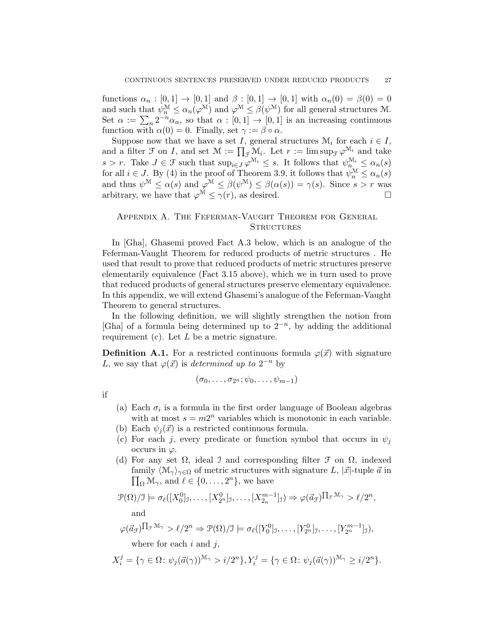functions  $\alpha_n : [0,1] \to [0,1]$  and  $\beta : [0,1] \to [0,1]$  with  $\alpha_n(0) = \beta(0) = 0$ and such that  $\psi_n^{\mathcal{M}} \leq \alpha_n(\varphi^{\mathcal{M}})$  and  $\varphi^{\mathcal{M}} \leq \beta(\psi^{\mathcal{M}})$  for all general structures M. Set  $\alpha := \sum_n 2^{-n} \alpha_n$ , so that  $\alpha : [0,1] \to [0,1]$  is an increasing continuous function with  $\alpha(0) = 0$ . Finally, set  $\gamma := \beta \circ \alpha$ .

Suppose now that we have a set I, general structures  $\mathcal{M}_i$  for each  $i \in I$ , and a filter  $\mathcal F$  on I, and set  $\mathcal M := \prod_{\mathcal F} \mathcal M_i$ . Let  $r := \limsup_{\mathcal F} \varphi^{\mathcal M_i}$  and take  $s > r$ . Take  $J \in \mathcal{F}$  such that  $\sup_{i \in J} \varphi^{\mathcal{M}_i} \leq s$ . It follows that  $\psi_{n}^{\mathcal{M}_i} \leq \alpha_n(s)$ for all  $i \in J$ . By (4) in the proof of Theorem 3.9, it follows that  $\psi_n^{\mathcal{M}} \leq \alpha_n(s)$ and thus  $\psi^{\mathcal{M}} \leq \alpha(s)$  and  $\varphi^{\mathcal{M}} \leq \beta(\psi^{\mathcal{M}}) \leq \beta(\alpha(s)) = \gamma(s)$ . Since  $s > r$  was arbitrary, we have that  $\varphi^{\mathcal{M}} \leq \gamma(r)$ , as desired.

## Appendix A. The Feferman-Vaught Theorem for General **STRUCTURES**

In [Gha], Ghasemi proved Fact A.3 below, which is an analogue of the Feferman-Vaught Theorem for reduced products of metric structures . He used that result to prove that reduced products of metric structures preserve elementarily equivalence (Fact 3.15 above), which we in turn used to prove that reduced products of general structures preserve elementary equivalence. In this appendix, we will extend Ghasemi's analogue of the Feferman-Vaught Theorem to general structures.

In the following definition, we will slightly strengthen the notion from [Gha] of a formula being determined up to  $2^{-n}$ , by adding the additional requirement (c). Let  $L$  be a metric signature.

**Definition A.1.** For a restricted continuous formula  $\varphi(\vec{x})$  with signature L, we say that  $\varphi(\vec{x})$  is determined up to  $2^{-n}$  by

$$
(\sigma_0,\ldots,\sigma_{2^n};\psi_0,\ldots,\psi_{m-1})
$$

if

- (a) Each  $\sigma_i$  is a formula in the first order language of Boolean algebras with at most  $s = m2^n$  variables which is monotonic in each variable.
- (b) Each  $\psi_i(\vec{x})$  is a restricted continuous formula.
- (c) For each j, every predicate or function symbol that occurs in  $\psi_i$ occurs in  $\varphi$ .
- (d) For any set  $\Omega$ , ideal J and corresponding filter  $\mathcal F$  on  $\Omega$ , indexed  $\prod_{\Omega} \mathcal{M}_{\gamma}$ , and  $\ell \in \{0, \ldots, 2^{n}\},$  we have family  $\langle \mathcal{M}_{\gamma} \rangle_{\gamma \in \Omega}$  of metric structures with signature L,  $|\vec{x}|$ -tuple  $\vec{a}$  in

$$
\mathcal{P}(\Omega)/\mathcal{I} \models \sigma_{\ell}([X_0^0]_1,\ldots,[X_{2^n}^0]_1,\ldots,[X_{2n}^{m-1}]_1) \Rightarrow \varphi(\vec{a}_{\mathcal{F}})^{\prod_{\mathcal{F}}\mathcal{M}_{\gamma}} > \ell/2^n,
$$
  
and

$$
\varphi(\vec{a}_{\mathcal{F}})^{\prod_{\mathcal{F}}\mathcal{M}_{\gamma}} > \ell/2^{n} \Rightarrow \mathcal{P}(\Omega)/\mathcal{I} \models \sigma_{\ell}([Y_0^0]_{\mathcal{I}}, \ldots, [Y_{2^n}^0]_{\mathcal{I}}, \ldots, [Y_{2^n}^{m-1}]_{\mathcal{I}}),
$$

where for each  $i$  and  $j$ ,

$$
X_i^j = \{ \gamma \in \Omega \colon \psi_j(\vec{a}(\gamma))^{\mathcal{M}_{\gamma}} > i/2^n \}, Y_i^j = \{ \gamma \in \Omega \colon \psi_j(\vec{a}(\gamma))^{\mathcal{M}_{\gamma}} \ge i/2^n \}.
$$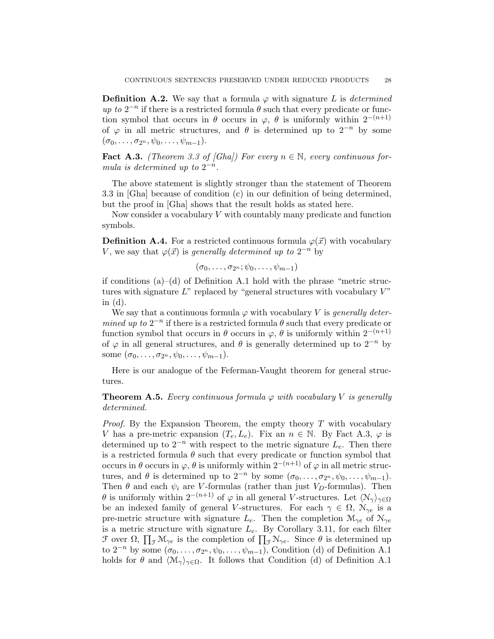**Definition A.2.** We say that a formula  $\varphi$  with signature L is determined up to  $2^{-n}$  if there is a restricted formula  $\theta$  such that every predicate or function symbol that occurs in  $\theta$  occurs in  $\varphi$ ,  $\theta$  is uniformly within 2<sup>−(n+1)</sup> of  $\varphi$  in all metric structures, and  $\theta$  is determined up to  $2^{-n}$  by some  $(\sigma_0, \ldots, \sigma_{2^n}, \psi_0, \ldots, \psi_{m-1}).$ 

**Fact A.3.** (Theorem 3.3 of [Gha]) For every  $n \in \mathbb{N}$ , every continuous formula is determined up to  $2^{-n}$ .

The above statement is slightly stronger than the statement of Theorem 3.3 in [Gha] because of condition (c) in our definition of being determined, but the proof in [Gha] shows that the result holds as stated here.

Now consider a vocabulary V with countably many predicate and function symbols.

**Definition A.4.** For a restricted continuous formula  $\varphi(\vec{x})$  with vocabulary V, we say that  $\varphi(\vec{x})$  is generally determined up to  $2^{-n}$  by

 $(\sigma_0, \ldots, \sigma_{2^n}; \psi_0, \ldots, \psi_{m-1})$ 

if conditions  $(a)$ – $(d)$  of Definition A.1 hold with the phrase "metric structures with signature  $L^{\prime\prime}$  replaced by "general structures with vocabulary  $V^{\prime\prime}$ in  $(d)$ .

We say that a continuous formula  $\varphi$  with vocabulary V is *generally deter*mined up to  $2^{-n}$  if there is a restricted formula  $\theta$  such that every predicate or function symbol that occurs in  $\theta$  occurs in  $\varphi$ ,  $\theta$  is uniformly within  $2^{-(n+1)}$ of  $\varphi$  in all general structures, and  $\theta$  is generally determined up to  $2^{-n}$  by some  $(\sigma_0, \ldots, \sigma_{2^n}, \psi_0, \ldots, \psi_{m-1}).$ 

Here is our analogue of the Feferman-Vaught theorem for general structures.

**Theorem A.5.** Every continuous formula  $\varphi$  with vocabulary V is generally determined.

*Proof.* By the Expansion Theorem, the empty theory  $T$  with vocabulary V has a pre-metric expansion  $(T_e, L_e)$ . Fix an  $n \in \mathbb{N}$ . By Fact A.3,  $\varphi$  is determined up to  $2^{-n}$  with respect to the metric signature  $L_e$ . Then there is a restricted formula  $\theta$  such that every predicate or function symbol that occurs in  $\theta$  occurs in  $\varphi$ ,  $\theta$  is uniformly within  $2^{-(n+1)}$  of  $\varphi$  in all metric structures, and  $\theta$  is determined up to  $2^{-n}$  by some  $(\sigma_0, \ldots, \sigma_{2^n}, \psi_0, \ldots, \psi_{m-1})$ . Then  $\theta$  and each  $\psi_i$  are V-formulas (rather than just  $V_D$ -formulas). Then θ is uniformly within  $2^{-(n+1)}$  of  $\varphi$  in all general V-structures. Let  $\langle N_{\gamma} \rangle_{\gamma \in \Omega}$ be an indexed family of general V-structures. For each  $\gamma \in \Omega$ ,  $\mathcal{N}_{\gamma e}$  is a pre-metric structure with signature  $L_e$ . Then the completion  $\mathcal{M}_{\gamma e}$  of  $\mathcal{N}_{\gamma e}$ is a metric structure with signature  $L_e$ . By Corollary 3.11, for each filter  $\mathcal F$  over  $\Omega$ ,  $\prod_{\mathcal F} \mathcal M_{\gamma e}$  is the completion of  $\prod_{\mathcal F} \mathcal N_{\gamma e}$ . Since  $\theta$  is determined up to  $2^{-n}$  by some  $(\sigma_0, \ldots, \sigma_{2^n}, \psi_0, \ldots, \psi_{m-1})$ , Condition (d) of Definition A.1 holds for  $\theta$  and  $\langle \mathcal{M}_{\gamma} \rangle_{\gamma \in \Omega}$ . It follows that Condition (d) of Definition A.1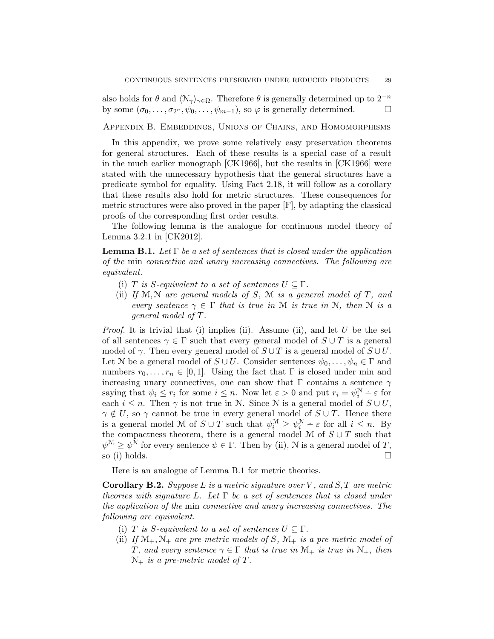also holds for  $\theta$  and  $\langle \mathcal{N}_{\gamma} \rangle_{\gamma \in \Omega}$ . Therefore  $\theta$  is generally determined up to  $2^{-n}$ by some  $(\sigma_0, \ldots, \sigma_{2^n}, \psi_0, \ldots, \psi_{m-1}),$  so  $\varphi$  is generally determined.

Appendix B. Embeddings, Unions of Chains, and Homomorphisms

In this appendix, we prove some relatively easy preservation theorems for general structures. Each of these results is a special case of a result in the much earlier monograph [CK1966], but the results in [CK1966] were stated with the unnecessary hypothesis that the general structures have a predicate symbol for equality. Using Fact 2.18, it will follow as a corollary that these results also hold for metric structures. These consequences for metric structures were also proved in the paper [F], by adapting the classical proofs of the corresponding first order results.

The following lemma is the analogue for continuous model theory of Lemma 3.2.1 in [CK2012].

**Lemma B.1.** Let  $\Gamma$  be a set of sentences that is closed under the application of the min connective and unary increasing connectives. The following are equivalent.

- (i) T is S-equivalent to a set of sentences  $U \subseteq \Gamma$ .
- (ii) If  $M, N$  are general models of S, M is a general model of T, and every sentence  $\gamma \in \Gamma$  that is true in M is true in N, then N is a general model of T.

*Proof.* It is trivial that (i) implies (ii). Assume (ii), and let  $U$  be the set of all sentences  $\gamma \in \Gamma$  such that every general model of  $S \cup T$  is a general model of  $\gamma$ . Then every general model of  $S \cup T$  is a general model of  $S \cup U$ . Let N be a general model of  $S \cup U$ . Consider sentences  $\psi_0, \ldots, \psi_n \in \Gamma$  and numbers  $r_0, \ldots, r_n \in [0,1]$ . Using the fact that  $\Gamma$  is closed under min and increasing unary connectives, one can show that  $\Gamma$  contains a sentence  $\gamma$ saying that  $\psi_i \leq r_i$  for some  $i \leq n$ . Now let  $\varepsilon > 0$  and put  $r_i = \psi_i^N - \varepsilon$  for each  $i \leq n$ . Then  $\gamma$  is not true in N. Since N is a general model of  $S \cup U$ ,  $\gamma \notin U$ , so  $\gamma$  cannot be true in every general model of  $S \cup T$ . Hence there is a general model M of  $S \cup T$  such that  $\psi_i^{\mathcal{M}} \geq \psi_i^{\mathcal{N}} - \varepsilon$  for all  $i \leq n$ . By the compactness theorem, there is a general model M of  $S \cup T$  such that  $\psi^{\mathcal{M}} \geq \psi^{\mathcal{N}}$  for every sentence  $\psi \in \Gamma$ . Then by (ii), N is a general model of T, so (i) holds.  $\square$ 

Here is an analogue of Lemma B.1 for metric theories.

**Corollary B.2.** Suppose L is a metric signature over V, and S, T are metric theories with signature L. Let  $\Gamma$  be a set of sentences that is closed under the application of the min connective and unary increasing connectives. The following are equivalent.

- (i) T is S-equivalent to a set of sentences  $U \subseteq \Gamma$ .
- (ii) If  $\mathcal{M}_+$ ,  $\mathcal{N}_+$  are pre-metric models of S,  $\mathcal{M}_+$  is a pre-metric model of T, and every sentence  $\gamma \in \Gamma$  that is true in  $\mathcal{M}_+$  is true in  $\mathcal{N}_+$ , then  $\mathcal{N}_+$  is a pre-metric model of T.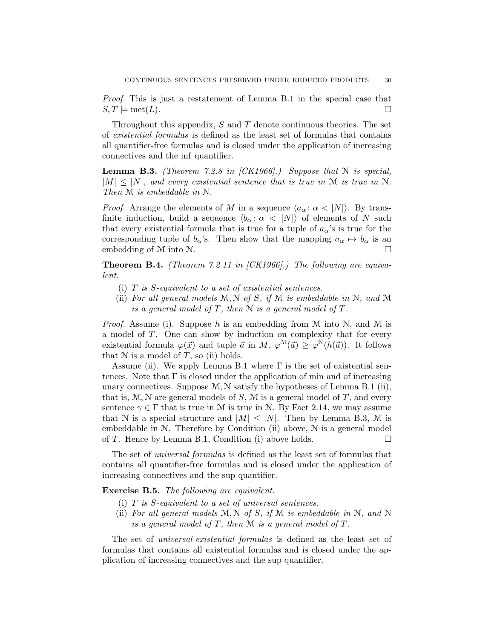Proof. This is just a restatement of Lemma B.1 in the special case that  $S, T \models \text{met}(L).$ 

Throughout this appendix,  $S$  and  $T$  denote continuous theories. The set of existential formulas is defined as the least set of formulas that contains all quantifier-free formulas and is closed under the application of increasing connectives and the inf quantifier.

**Lemma B.3.** (Theorem 7.2.8 in  $|CK1966|$ .) Suppose that N is special,  $|M| \leq |N|$ , and every existential sentence that is true in M is true in N. Then M is embeddable in N.

*Proof.* Arrange the elements of M in a sequence  $\langle a_{\alpha} : \alpha \langle N \rangle$ . By transfinite induction, build a sequence  $\langle b_{\alpha} : \alpha \langle |N| \rangle$  of elements of N such that every existential formula that is true for a tuple of  $a_{\alpha}$ 's is true for the corresponding tuple of  $b_{\alpha}$ 's. Then show that the mapping  $a_{\alpha} \mapsto b_{\alpha}$  is an embedding of M into N.

**Theorem B.4.** (Theorem 7.2.11 in  $|CK1966|$ .) The following are equivalent.

- (i)  $T$  is  $S$ -equivalent to a set of existential sentences.
- (ii) For all general models  $M, N$  of S, if  $M$  is embeddable in  $N$ , and  $M$ is a general model of T, then  $N$  is a general model of T.

*Proof.* Assume (i). Suppose h is an embedding from  $M$  into  $N$ , and  $M$  is a model of T. One can show by induction on complexity that for every existential formula  $\varphi(\vec{x})$  and tuple  $\vec{a}$  in  $M$ ,  $\varphi^{\mathcal{M}}(\vec{a}) \geq \varphi^{\mathcal{N}}(h(\vec{a}))$ . It follows that  $N$  is a model of  $T$ , so (ii) holds.

Assume (ii). We apply Lemma B.1 where  $\Gamma$  is the set of existential sentences. Note that  $\Gamma$  is closed under the application of min and of increasing unary connectives. Suppose  $M, N$  satisfy the hypotheses of Lemma B.1 (ii), that is,  $M, N$  are general models of S, M is a general model of T, and every sentence  $\gamma \in \Gamma$  that is true in M is true in N. By Fact 2.14, we may assume that N is a special structure and  $|M| \leq |N|$ . Then by Lemma B.3, M is embeddable in  $N$ . Therefore by Condition (ii) above,  $N$  is a general model of T. Hence by Lemma B.1, Condition (i) above holds.  $\square$ 

The set of universal formulas is defined as the least set of formulas that contains all quantifier-free formulas and is closed under the application of increasing connectives and the sup quantifier.

## Exercise B.5. The following are equivalent.

- (i) T is S-equivalent to a set of universal sentences.
- (ii) For all general models  $M, N$  of S, if M is embeddable in N, and N is a general model of  $T$ , then  $M$  is a general model of  $T$ .

The set of *universal-existential formulas* is defined as the least set of formulas that contains all existential formulas and is closed under the application of increasing connectives and the sup quantifier.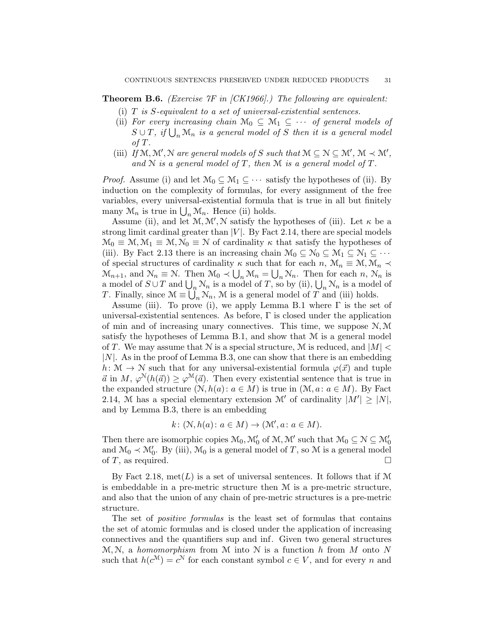**Theorem B.6.** (*Exercise*  $\gamma$ *F* in [CK1966].) The following are equivalent:

- (i)  $T$  is  $S$ -equivalent to a set of universal-existential sentences.
- (ii) For every increasing chain  $\mathcal{M}_0 \subseteq \mathcal{M}_1 \subseteq \cdots$  of general models of  $S \cup T$ , if  $\bigcup_n \mathcal{M}_n$  is a general model of S then it is a general model of T.
- (iii) If  $\mathcal{M}, \mathcal{M}', \mathcal{N}$  are general models of S such that  $\mathcal{M} \subseteq \mathcal{N} \subseteq \mathcal{M}', \mathcal{M} \prec \mathcal{M}',$ and  $N$  is a general model of  $T$ , then  $M$  is a general model of  $T$ .

*Proof.* Assume (i) and let  $\mathcal{M}_0 \subseteq \mathcal{M}_1 \subseteq \cdots$  satisfy the hypotheses of (ii). By induction on the complexity of formulas, for every assignment of the free variables, every universal-existential formula that is true in all but finitely many  $\mathcal{M}_n$  is true in  $\bigcup_n \mathcal{M}_n$ . Hence (ii) holds.

Assume (ii), and let  $\mathcal{M}, \mathcal{M}', \mathcal{N}$  satisfy the hypotheses of (iii). Let  $\kappa$  be a strong limit cardinal greater than  $|V|$ . By Fact 2.14, there are special models  $\mathcal{M}_0 \equiv \mathcal{M}, \mathcal{M}_1 \equiv \mathcal{M}, \mathcal{N}_0 \equiv \mathcal{N}$  of cardinality  $\kappa$  that satisfy the hypotheses of (iii). By Fact 2.13 there is an increasing chain  $\mathcal{M}_0 \subseteq \mathcal{N}_0 \subseteq \mathcal{M}_1 \subseteq \mathcal{N}_1 \subseteq \cdots$ of special structures of cardinality  $\kappa$  such that for each  $n, \mathcal{M}_n \equiv \mathcal{M}, \mathcal{M}_n \prec$  $\mathcal{M}_{n+1}$ , and  $\mathcal{N}_n \equiv \mathcal{N}$ . Then  $\mathcal{M}_0 \prec \bigcup_n \mathcal{M}_n = \bigcup_n \mathcal{N}_n$ . Then for each  $n, \mathcal{N}_n$  is a model of  $S \cup T$  and  $\bigcup_n \mathcal{N}_n$  is a model of T, so by (ii),  $\bigcup_n \mathcal{N}_n$  is a model of T. Finally, since  $\mathcal{M} \equiv \bigcup_n \mathcal{N}_n$ ,  $\mathcal{M}$  is a general model of T and (iii) holds.

Assume (iii). To prove (i), we apply Lemma B.1 where  $\Gamma$  is the set of universal-existential sentences. As before,  $\Gamma$  is closed under the application of min and of increasing unary connectives. This time, we suppose  $N, M$ satisfy the hypotheses of Lemma B.1, and show that  $M$  is a general model of T. We may assume that N is a special structure, M is reduced, and  $|M|$  $|N|$ . As in the proof of Lemma B.3, one can show that there is an embedding h:  $M \to N$  such that for any universal-existential formula  $\varphi(\vec{x})$  and tuple  $\vec{a}$  in M,  $\varphi^N(h(\vec{a})) \geq \varphi^M(\vec{a})$ . Then every existential sentence that is true in the expanded structure  $(N, h(a): a \in M)$  is true in  $(M, a: a \in M)$ . By Fact 2.14, M has a special elementary extension M' of cardinality  $|M'| \geq |N|$ , and by Lemma B.3, there is an embedding

$$
k: (\mathcal{N}, h(a) \colon a \in M) \to (\mathcal{M}', a \colon a \in M).
$$

Then there are isomorphic copies  $M_0, M'_0$  of  $M, M'$  such that  $M_0 \subseteq N \subseteq M'_0$ and  $\mathcal{M}_0 \prec \mathcal{M}'_0$ . By (iii),  $\mathcal{M}_0$  is a general model of T, so M is a general model of  $T$ , as required.

By Fact 2.18, met $(L)$  is a set of universal sentences. It follows that if M is embeddable in a pre-metric structure then M is a pre-metric structure, and also that the union of any chain of pre-metric structures is a pre-metric structure.

The set of *positive formulas* is the least set of formulas that contains the set of atomic formulas and is closed under the application of increasing connectives and the quantifiers sup and inf. Given two general structures  $M, N$ , a homomorphism from M into N is a function h from M onto N such that  $h(c^{\mathcal{M}}) = c^{\mathcal{N}}$  for each constant symbol  $c \in V$ , and for every n and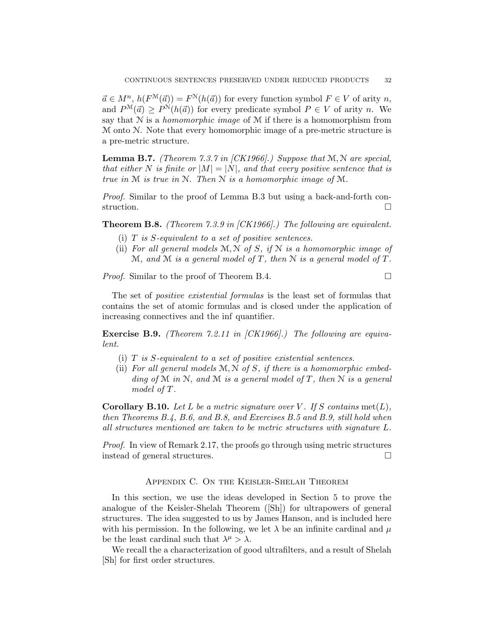$\vec{a} \in M^n$ ,  $h(F^{\mathcal{M}}(\vec{a})) = F^{\mathcal{N}}(h(\vec{a}))$  for every function symbol  $F \in V$  of arity n, and  $P^{\mathcal{M}}(\vec{a}) \geq P^{\mathcal{N}}(h(\vec{a}))$  for every predicate symbol  $P \in V$  of arity n. We say that  $N$  is a *homomorphic image* of  $M$  if there is a homomorphism from M onto N. Note that every homomorphic image of a pre-metric structure is a pre-metric structure.

**Lemma B.7.** (Theorem 7.3.7 in [CK1966].) Suppose that  $M, N$  are special, that either N is finite or  $|M| = |N|$ , and that every positive sentence that is true in M is true in N. Then N is a homomorphic image of M.

Proof. Similar to the proof of Lemma B.3 but using a back-and-forth construction.

Theorem B.8. (Theorem 7.3.9 in [CK1966].) The following are equivalent.

- (i)  $T$  is  $S$ -equivalent to a set of positive sentences.
- (ii) For all general models  $M, N$  of S, if  $N$  is a homomorphic image of M, and M is a general model of T, then N is a general model of T.

*Proof.* Similar to the proof of Theorem B.4.  $\Box$ 

The set of positive existential formulas is the least set of formulas that contains the set of atomic formulas and is closed under the application of increasing connectives and the inf quantifier.

Exercise B.9. (Theorem 7.2.11 in [CK1966].) The following are equivalent.

- (i)  $T$  is  $S$ -equivalent to a set of positive existential sentences.
- (ii) For all general models  $M, N$  of S, if there is a homomorphic embedding of M in N, and M is a general model of T, then N is a general model of T.

**Corollary B.10.** Let L be a metric signature over V. If S contains met(L), then Theorems B.4, B.6, and B.8, and Exercises B.5 and B.9, still hold when all structures mentioned are taken to be metric structures with signature L.

Proof. In view of Remark 2.17, the proofs go through using metric structures instead of general structures.

### Appendix C. On the Keisler-Shelah Theorem

In this section, we use the ideas developed in Section 5 to prove the analogue of the Keisler-Shelah Theorem ([Sh]) for ultrapowers of general structures. The idea suggested to us by James Hanson, and is included here with his permission. In the following, we let  $\lambda$  be an infinite cardinal and  $\mu$ be the least cardinal such that  $\lambda^{\mu} > \lambda$ .

We recall the a characterization of good ultrafilters, and a result of Shelah [Sh] for first order structures.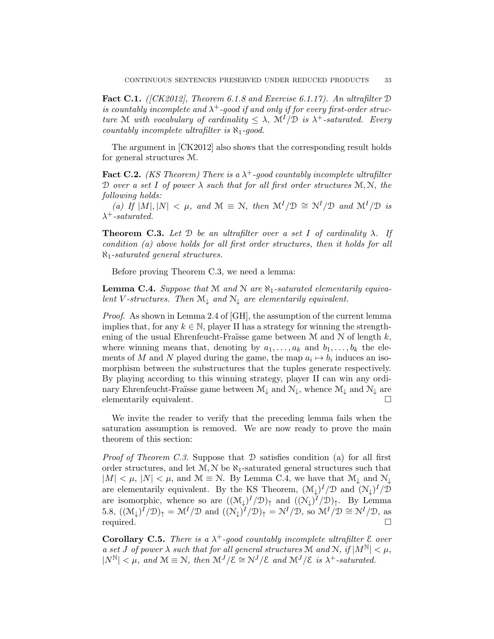**Fact C.1.** ([CK2012], Theorem 6.1.8 and Exercise 6.1.17). An ultrafilter  $D$ is countably incomplete and  $\lambda^+$ -good if and only if for every first-order structure M with vocabulary of cardinality  $\leq \lambda$ ,  $\mathcal{M}^I/\mathcal{D}$  is  $\lambda^+$ -saturated. Every countably incomplete ultrafilter is  $\aleph_1$ -good.

The argument in [CK2012] also shows that the corresponding result holds for general structures M.

**Fact C.2.** (KS Theorem) There is a  $\lambda^+$ -good countably incomplete ultrafilter D over a set I of power  $\lambda$  such that for all first order structures  $\mathcal{M}, \mathcal{N}$ , the following holds:

(a) If  $|M|, |N| < \mu$ , and  $\mathcal{M} \equiv \mathcal{N}$ , then  $\mathcal{M}^I/\mathcal{D} \cong \mathcal{N}^I/\mathcal{D}$  and  $\mathcal{M}^I/\mathcal{D}$  is  $\lambda^+$ -saturated.

**Theorem C.3.** Let D be an ultrafilter over a set I of cardinality  $\lambda$ . If condition (a) above holds for all first order structures, then it holds for all  $\aleph_1$ -saturated general structures.

Before proving Theorem C.3, we need a lemma:

**Lemma C.4.** Suppose that M and N are  $\aleph_1$ -saturated elementarily equivalent V-structures. Then  $\mathcal{M}_\perp$  and  $\mathcal{N}_\perp$  are elementarily equivalent.

Proof. As shown in Lemma 2.4 of [GH], the assumption of the current lemma implies that, for any  $k \in \mathbb{N}$ , player II has a strategy for winning the strengthening of the usual Ehrenfeucht-Fraïsse game between  $M$  and  $N$  of length  $k$ , where winning means that, denoting by  $a_1, \ldots, a_k$  and  $b_1, \ldots, b_k$  the elements of M and N played during the game, the map  $a_i \mapsto b_i$  induces an isomorphism between the substructures that the tuples generate respectively. By playing according to this winning strategy, player II can win any ordinary Ehrenfeucht-Fraïsse game between  $\mathcal{M}_{\downarrow}$  and  $\mathcal{N}_{\downarrow}$ , whence  $\mathcal{M}_{\downarrow}$  and  $\mathcal{N}_{\downarrow}$  are elementarily equivalent.

We invite the reader to verify that the preceding lemma fails when the saturation assumption is removed. We are now ready to prove the main theorem of this section:

*Proof of Theorem C.3.* Suppose that  $D$  satisfies condition (a) for all first order structures, and let  $M, N$  be  $\aleph_1$ -saturated general structures such that  $|M| < \mu$ ,  $|N| < \mu$ , and  $\mathcal{M} \equiv \mathcal{N}$ . By Lemma C.4, we have that  $\mathcal{M}_{\downarrow}$  and  $\mathcal{N}_{\downarrow}$ are elementarily equivalent. By the KS Theorem,  $(\mathcal{M}_{\downarrow})^I/\mathcal{D}$  and  $(\mathcal{N}_{\downarrow})^I/\mathcal{D}$ are isomorphic, whence so are  $((\mathcal{M}_{\downarrow})^I/\mathcal{D})_{\uparrow}$  and  $((\mathcal{N}_{\downarrow})^I/\mathcal{D})_{\uparrow}$ . By Lemma 5.8,  $((\mathcal{M}_{\downarrow})^I/\mathcal{D})_{\uparrow} = \mathcal{M}^I/\mathcal{D}$  and  $((\mathcal{N}_{\downarrow})^I/\mathcal{D})_{\uparrow} = \mathcal{N}^I/\mathcal{D}$ , so  $\mathcal{M}^I/\mathcal{D} \cong \mathcal{N}^I/\mathcal{D}$ , as required.

**Corollary C.5.** There is a  $\lambda^+$ -good countably incomplete ultrafilter  $\epsilon$  over a set J of power  $\lambda$  such that for all general structures M and N, if  $|M^{\mathbb{N}}| < \mu$ ,  $|N^{\mathbb{N}}| < \mu$ , and  $\mathcal{M} \equiv \mathcal{N}$ , then  $\mathcal{M}^J/\mathcal{E} \cong \mathcal{N}^J/\mathcal{E}$  and  $\mathcal{M}^J/\mathcal{E}$  is  $\lambda^+$ -saturated.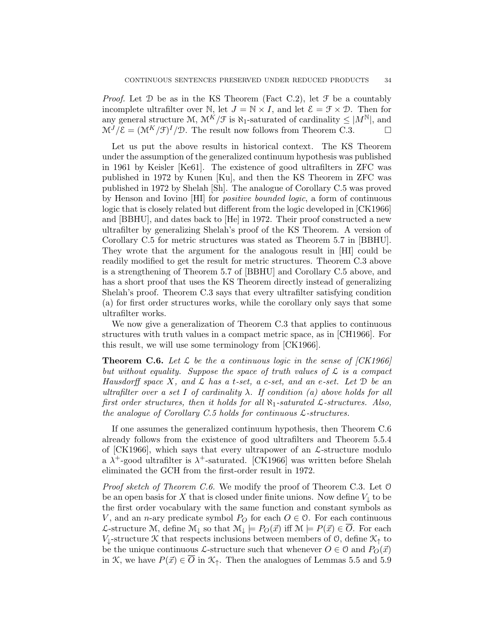*Proof.* Let  $D$  be as in the KS Theorem (Fact C.2), let  $\mathcal F$  be a countably incomplete ultrafilter over N, let  $J = N \times I$ , and let  $\mathcal{E} = \mathcal{F} \times \mathcal{D}$ . Then for any general structure M,  $\mathcal{M}^K/\mathcal{F}$  is  $\aleph_1$ -saturated of cardinality  $\leq |M^N|$ , and  $\mathcal{M}^{J}/\mathcal{E} = (\mathcal{M}^{K}/\mathcal{F})^{I}/\mathcal{D}$ . The result now follows from Theorem C.3.

Let us put the above results in historical context. The KS Theorem under the assumption of the generalized continuum hypothesis was published in 1961 by Keisler [Ke61]. The existence of good ultrafilters in ZFC was published in 1972 by Kunen [Ku], and then the KS Theorem in ZFC was published in 1972 by Shelah [Sh]. The analogue of Corollary C.5 was proved by Henson and Iovino [HI] for positive bounded logic, a form of continuous logic that is closely related but different from the logic developed in [CK1966] and [BBHU], and dates back to [He] in 1972. Their proof constructed a new ultrafilter by generalizing Shelah's proof of the KS Theorem. A version of Corollary C.5 for metric structures was stated as Theorem 5.7 in [BBHU]. They wrote that the argument for the analogous result in [HI] could be readily modified to get the result for metric structures. Theorem C.3 above is a strengthening of Theorem 5.7 of [BBHU] and Corollary C.5 above, and has a short proof that uses the KS Theorem directly instead of generalizing Shelah's proof. Theorem C.3 says that every ultrafilter satisfying condition (a) for first order structures works, while the corollary only says that some ultrafilter works.

We now give a generalization of Theorem C.3 that applies to continuous structures with truth values in a compact metric space, as in [CH1966]. For this result, we will use some terminology from [CK1966].

**Theorem C.6.** Let  $\mathcal{L}$  be the a continuous logic in the sense of [CK1966] but without equality. Suppose the space of truth values of  $\mathcal L$  is a compact Hausdorff space X, and  $\mathcal L$  has a t-set, a c-set, and an e-set. Let  $\mathcal D$  be an ultrafilter over a set I of cardinality  $\lambda$ . If condition (a) above holds for all first order structures, then it holds for all  $\aleph_1$ -saturated  $\mathcal{L}$ -structures. Also, the analogue of Corollary C.5 holds for continuous  $\mathcal{L}\text{-}structures.$ 

If one assumes the generalized continuum hypothesis, then Theorem C.6 already follows from the existence of good ultrafilters and Theorem 5.5.4 of  $[CK1966]$ , which says that every ultrapower of an  $\mathcal{L}\text{-structure}$  modulo a  $\lambda^+$ -good ultrafilter is  $\lambda^+$ -saturated. [CK1966] was written before Shelah eliminated the GCH from the first-order result in 1972.

Proof sketch of Theorem C.6. We modify the proof of Theorem C.3. Let O be an open basis for X that is closed under finite unions. Now define  $V_{\perp}$  to be the first order vocabulary with the same function and constant symbols as V, and an n-ary predicate symbol  $P_O$  for each  $O \in \mathcal{O}$ . For each continuous L-structure M, define M<sub>↓</sub> so that  $\mathcal{M}_{\downarrow} \models P_O(\vec{x})$  iff  $\mathcal{M} \models P(\vec{x}) \in \overline{O}$ . For each V<sub>↓</sub>-structure  $\mathcal K$  that respects inclusions between members of  $\mathcal O$ , define  $\mathcal K_{\uparrow}$  to be the unique continuous L-structure such that whenever  $O \in \mathcal{O}$  and  $P_O(\vec{x})$ in K, we have  $P(\vec{x}) \in \overline{O}$  in  $\mathcal{K}_{\uparrow}$ . Then the analogues of Lemmas 5.5 and 5.9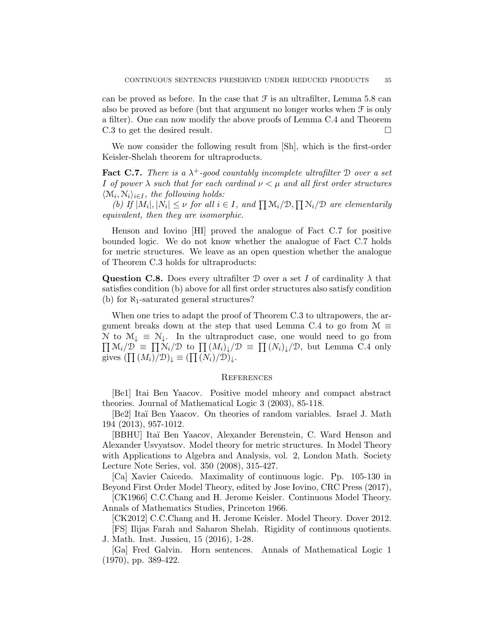can be proved as before. In the case that  $\mathcal F$  is an ultrafilter, Lemma 5.8 can also be proved as before (but that argument no longer works when  $\mathcal F$  is only a filter). One can now modify the above proofs of Lemma C.4 and Theorem C.3 to get the desired result.

We now consider the following result from [Sh], which is the first-order Keisler-Shelah theorem for ultraproducts.

**Fact C.7.** There is a  $\lambda^+$ -good countably incomplete ultrafilter  $\mathcal D$  over a set I of power  $\lambda$  such that for each cardinal  $\nu < \mu$  and all first order structures  $\langle \mathcal{M}_i, \mathcal{N}_i \rangle_{i \in I}$ , the following holds:

(b) If  $|M_i|, |N_i| \leq \nu$  for all  $i \in I$ , and  $\prod \mathcal{M}_i/\mathcal{D}, \prod \mathcal{N}_i/\mathcal{D}$  are elementarily equivalent, then they are isomorphic.

Henson and Iovino [HI] proved the analogue of Fact C.7 for positive bounded logic. We do not know whether the analogue of Fact C.7 holds for metric structures. We leave as an open question whether the analogue of Theorem C.3 holds for ultraproducts:

**Question C.8.** Does every ultrafilter  $\mathcal D$  over a set I of cardinality  $\lambda$  that satisfies condition (b) above for all first order structures also satisfy condition (b) for  $\aleph_1$ -saturated general structures?

When one tries to adapt the proof of Theorem C.3 to ultrapowers, the argument breaks down at the step that used Lemma C.4 to go from  $\mathcal{M} \equiv$  $\prod M_i/\mathcal{D} \equiv \prod M_i/\mathcal{D}$  to  $\prod (M_i)_{\downarrow}/\mathcal{D} \equiv \prod (N_i)_{\downarrow}/\mathcal{D}$ , but Lemma C.4 only N to  $M_{\downarrow} \equiv N_{\downarrow}$ . In the ultraproduct case, one would need to go from gives  $(\prod (M_i)/\mathcal{D})_{\downarrow} \equiv (\prod (N_i)/\mathcal{D})_{\downarrow}$ .

#### **REFERENCES**

[Be1] Itai Ben Yaacov. Positive model mheory and compact abstract theories. Journal of Mathematical Logic 3 (2003), 85-118.

[Be2] Itaï Ben Yaacov. On theories of random variables. Israel J. Math 194 (2013), 957-1012.

[BBHU] Ita¨ı Ben Yaacov, Alexander Berenstein, C. Ward Henson and Alexander Usvyatsov. Model theory for metric structures. In Model Theory with Applications to Algebra and Analysis, vol. 2, London Math. Society Lecture Note Series, vol. 350 (2008), 315-427.

[Ca] Xavier Caicedo. Maximality of continuous logic. Pp. 105-130 in Beyond First Order Model Theory, edited by Jose Iovino, CRC Press (2017),

[CK1966] C.C.Chang and H. Jerome Keisler. Continuous Model Theory. Annals of Mathematics Studies, Princeton 1966.

[CK2012] C.C.Chang and H. Jerome Keisler. Model Theory. Dover 2012.

[FS] Ilijas Farah and Saharon Shelah. Rigidity of continuous quotients. J. Math. Inst. Jussieu, 15 (2016), 1-28.

[Ga] Fred Galvin. Horn sentences. Annals of Mathematical Logic 1 (1970), pp. 389-422.